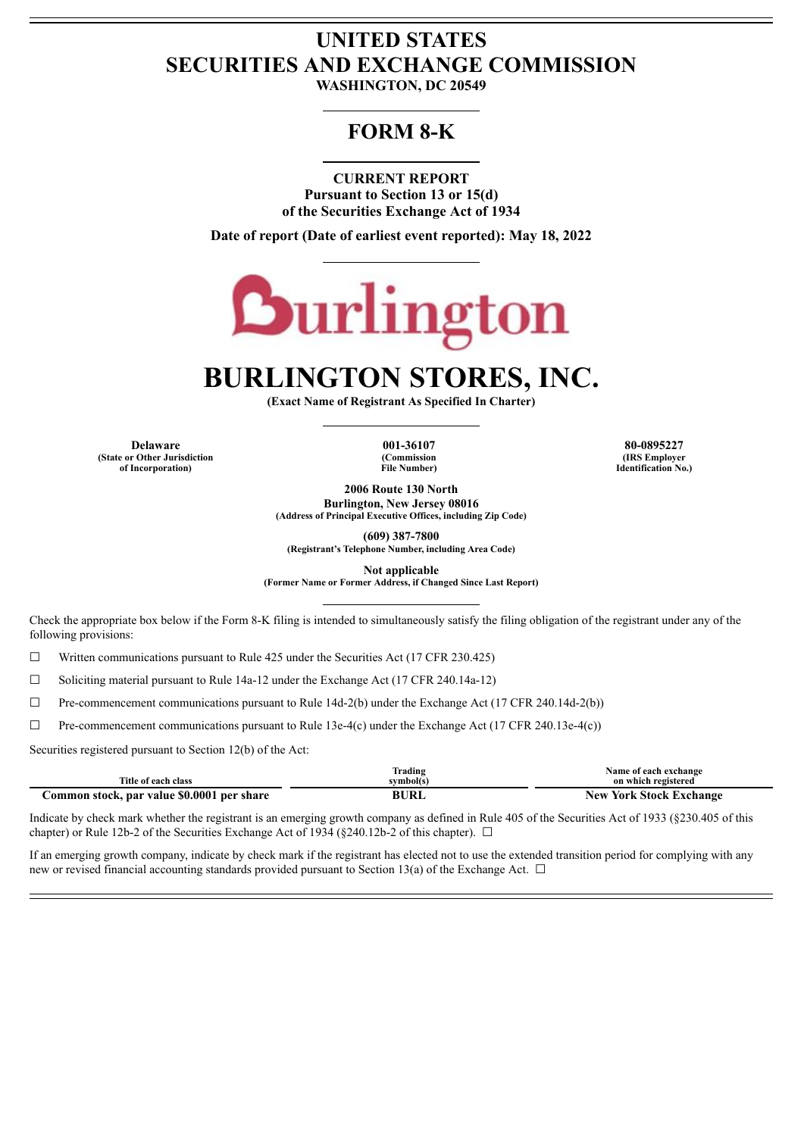# **UNITED STATES SECURITIES AND EXCHANGE COMMISSION**

**WASHINGTON, DC 20549**

# **FORM 8-K**

**CURRENT REPORT**

**Pursuant to Section 13 or 15(d) of the Securities Exchange Act of 1934**

**Date of report (Date of earliest event reported): May 18, 2022**



# **BURLINGTON STORES, INC.**

**(Exact Name of Registrant As Specified In Charter)**

**Delaware 001-36107 80-0895227 (State or Other Jurisdiction of Incorporation)**

**(Commission File Number)**

**(IRS Employer Identification No.)**

**2006 Route 130 North**

**Burlington, New Jersey 08016 (Address of Principal Executive Offices, including Zip Code)**

**(609) 387-7800**

**(Registrant's Telephone Number, including Area Code)**

**Not applicable**

**(Former Name or Former Address, if Changed Since Last Report)**

Check the appropriate box below if the Form 8-K filing is intended to simultaneously satisfy the filing obligation of the registrant under any of the following provisions:

 $\Box$  Written communications pursuant to Rule 425 under the Securities Act (17 CFR 230.425)

☐ Soliciting material pursuant to Rule 14a-12 under the Exchange Act (17 CFR 240.14a-12)

☐ Pre-commencement communications pursuant to Rule 14d-2(b) under the Exchange Act (17 CFR 240.14d-2(b))

☐ Pre-commencement communications pursuant to Rule 13e-4(c) under the Exchange Act (17 CFR 240.13e-4(c))

Securities registered pursuant to Section 12(b) of the Act:

|                                            | Frading     | Name of each exchange          |
|--------------------------------------------|-------------|--------------------------------|
| Title of each class                        | svmbol(s    | on which registered            |
| Common stock, par value \$0.0001 per share | <b>BURI</b> | <b>New York Stock Exchange</b> |

Indicate by check mark whether the registrant is an emerging growth company as defined in Rule 405 of the Securities Act of 1933 (§230.405 of this chapter) or Rule 12b-2 of the Securities Exchange Act of 1934 ( $\S$ 240.12b-2 of this chapter).  $\Box$ 

If an emerging growth company, indicate by check mark if the registrant has elected not to use the extended transition period for complying with any new or revised financial accounting standards provided pursuant to Section 13(a) of the Exchange Act.  $\Box$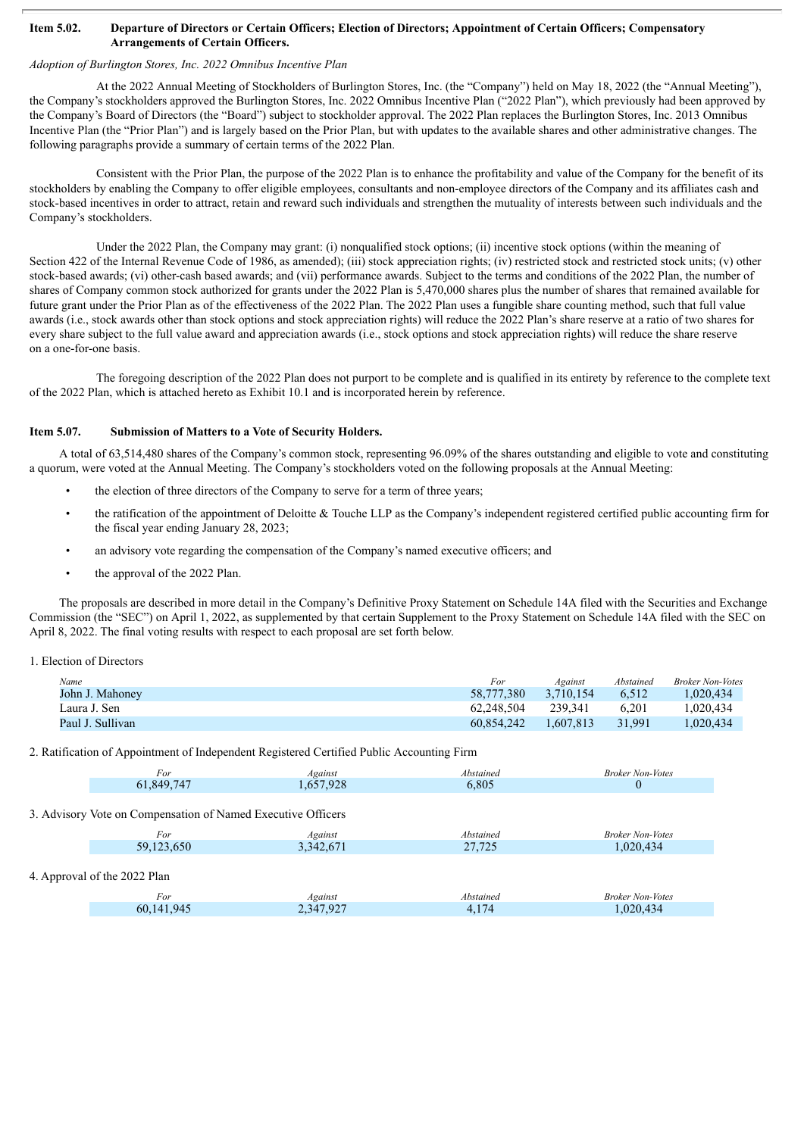#### Item 5.02. Departure of Directors or Certain Officers; Election of Directors; Appointment of Certain Officers; Compensatory **Arrangements of Certain Officers.**

# *Adoption of Burlington Stores, Inc. 2022 Omnibus Incentive Plan*

At the 2022 Annual Meeting of Stockholders of Burlington Stores, Inc. (the "Company") held on May 18, 2022 (the "Annual Meeting"), the Company's stockholders approved the Burlington Stores, Inc. 2022 Omnibus Incentive Plan ("2022 Plan"), which previously had been approved by the Company's Board of Directors (the "Board") subject to stockholder approval. The 2022 Plan replaces the Burlington Stores, Inc. 2013 Omnibus Incentive Plan (the "Prior Plan") and is largely based on the Prior Plan, but with updates to the available shares and other administrative changes. The following paragraphs provide a summary of certain terms of the 2022 Plan.

Consistent with the Prior Plan, the purpose of the 2022 Plan is to enhance the profitability and value of the Company for the benefit of its stockholders by enabling the Company to offer eligible employees, consultants and non-employee directors of the Company and its affiliates cash and stock-based incentives in order to attract, retain and reward such individuals and strengthen the mutuality of interests between such individuals and the Company's stockholders.

Under the 2022 Plan, the Company may grant: (i) nonqualified stock options; (ii) incentive stock options (within the meaning of Section 422 of the Internal Revenue Code of 1986, as amended); (iii) stock appreciation rights; (iv) restricted stock and restricted stock units; (v) other stock-based awards; (vi) other-cash based awards; and (vii) performance awards. Subject to the terms and conditions of the 2022 Plan, the number of shares of Company common stock authorized for grants under the 2022 Plan is 5,470,000 shares plus the number of shares that remained available for future grant under the Prior Plan as of the effectiveness of the 2022 Plan. The 2022 Plan uses a fungible share counting method, such that full value awards (i.e., stock awards other than stock options and stock appreciation rights) will reduce the 2022 Plan's share reserve at a ratio of two shares for every share subject to the full value award and appreciation awards (i.e., stock options and stock appreciation rights) will reduce the share reserve on a one-for-one basis.

The foregoing description of the 2022 Plan does not purport to be complete and is qualified in its entirety by reference to the complete text of the 2022 Plan, which is attached hereto as Exhibit 10.1 and is incorporated herein by reference.

#### **Item 5.07. Submission of Matters to a Vote of Security Holders.**

A total of 63,514,480 shares of the Company's common stock, representing 96.09% of the shares outstanding and eligible to vote and constituting a quorum, were voted at the Annual Meeting. The Company's stockholders voted on the following proposals at the Annual Meeting:

- the election of three directors of the Company to serve for a term of three years;
- the ratification of the appointment of Deloitte & Touche LLP as the Company's independent registered certified public accounting firm for the fiscal year ending January 28, 2023;
- an advisory vote regarding the compensation of the Company's named executive officers; and
- the approval of the 2022 Plan.

The proposals are described in more detail in the Company's Definitive Proxy Statement on Schedule 14A filed with the Securities and Exchange Commission (the "SEC") on April 1, 2022, as supplemented by that certain Supplement to the Proxy Statement on Schedule 14A filed with the SEC on April 8, 2022. The final voting results with respect to each proposal are set forth below.

1. Election of Directors

| Name             | For        | Against   | Abstained | <b>Broker Non-Votes</b> |
|------------------|------------|-----------|-----------|-------------------------|
| John J. Mahoney  | 58.777.380 | 3.710.154 | 6.512     | .020.434                |
| Laura J. Sen     | 62.248.504 | 239.341   | 6.201     | 0.020.434               |
| Paul J. Sullivan | 60.854.242 | 1.607.813 | 31.991    | 1.020.434               |

2. Ratification of Appointment of Independent Registered Certified Public Accounting Firm

| For                                                          | Against   | Abstained | <b>Broker Non-Votes</b> |
|--------------------------------------------------------------|-----------|-----------|-------------------------|
| 61,849,747                                                   | 1,657,928 | 6,805     | $\theta$                |
|                                                              |           |           |                         |
| 3. Advisory Vote on Compensation of Named Executive Officers |           |           |                         |
| For                                                          | Against   | Abstained | <b>Broker Non-Votes</b> |
| 59,123,650                                                   | 3,342,671 | 27,725    | 1,020,434               |
|                                                              |           |           |                         |
| 4. Approval of the 2022 Plan                                 |           |           |                         |
| For                                                          | Against   | Abstained | <b>Broker Non-Votes</b> |
| 60,141,945                                                   | 2,347,927 | 4,174     | 1,020,434               |
|                                                              |           |           |                         |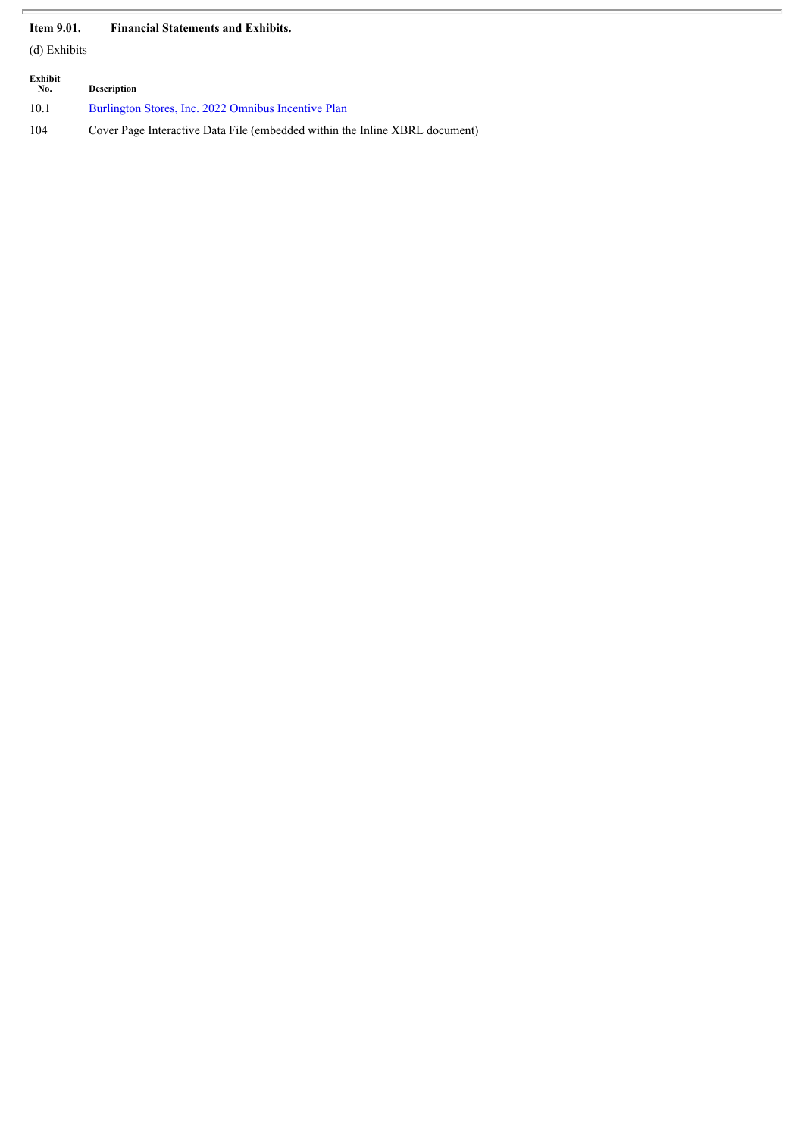# **Item 9.01. Financial Statements and Exhibits.**

(d) Exhibits

| Exhibit<br>No. | <b>Description</b>                                                          |
|----------------|-----------------------------------------------------------------------------|
| 10.1           | Burlington Stores, Inc. 2022 Omnibus Incentive Plan                         |
| 104            | Cover Page Interactive Data File (embedded within the Inline XBRL document) |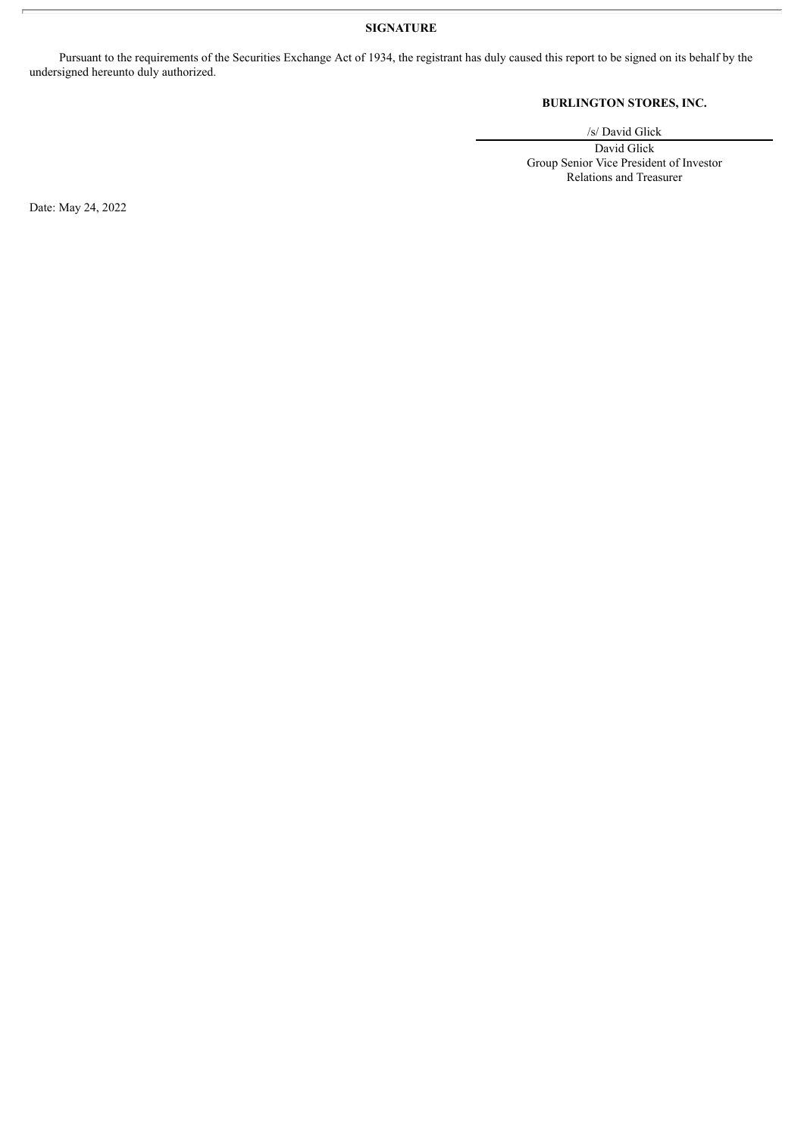# **SIGNATURE**

Pursuant to the requirements of the Securities Exchange Act of 1934, the registrant has duly caused this report to be signed on its behalf by the undersigned hereunto duly authorized.

# **BURLINGTON STORES, INC.**

/s/ David Glick

David Glick Group Senior Vice President of Investor Relations and Treasurer

Date: May 24, 2022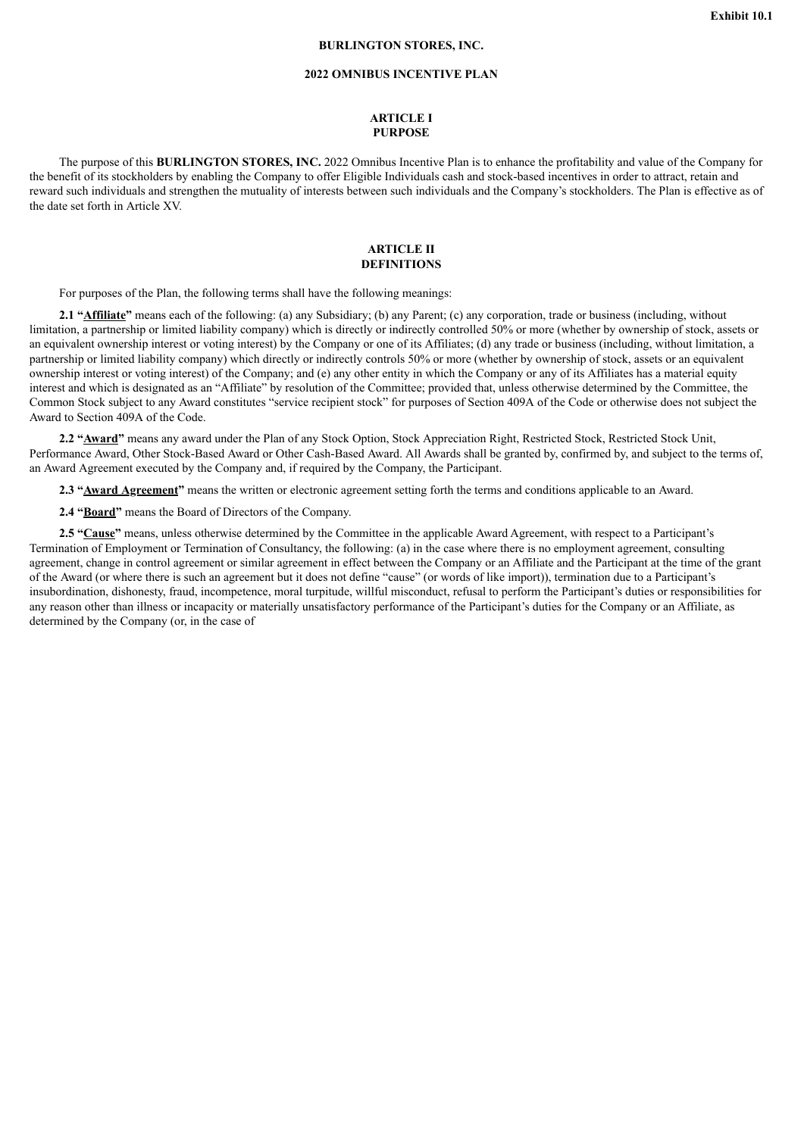#### **BURLINGTON STORES, INC.**

## **2022 OMNIBUS INCENTIVE PLAN**

#### **ARTICLE I PURPOSE**

<span id="page-4-0"></span>The purpose of this **BURLINGTON STORES, INC.** 2022 Omnibus Incentive Plan is to enhance the profitability and value of the Company for the benefit of its stockholders by enabling the Company to offer Eligible Individuals cash and stock-based incentives in order to attract, retain and reward such individuals and strengthen the mutuality of interests between such individuals and the Company's stockholders. The Plan is effective as of the date set forth in Article XV.

#### **ARTICLE II DEFINITIONS**

For purposes of the Plan, the following terms shall have the following meanings:

**2.1 "Affiliate"** means each of the following: (a) any Subsidiary; (b) any Parent; (c) any corporation, trade or business (including, without limitation, a partnership or limited liability company) which is directly or indirectly controlled 50% or more (whether by ownership of stock, assets or an equivalent ownership interest or voting interest) by the Company or one of its Affiliates; (d) any trade or business (including, without limitation, a partnership or limited liability company) which directly or indirectly controls 50% or more (whether by ownership of stock, assets or an equivalent ownership interest or voting interest) of the Company; and (e) any other entity in which the Company or any of its Affiliates has a material equity interest and which is designated as an "Affiliate" by resolution of the Committee; provided that, unless otherwise determined by the Committee, the Common Stock subject to any Award constitutes "service recipient stock" for purposes of Section 409A of the Code or otherwise does not subject the Award to Section 409A of the Code.

**2.2 "Award"** means any award under the Plan of any Stock Option, Stock Appreciation Right, Restricted Stock, Restricted Stock Unit, Performance Award, Other Stock-Based Award or Other Cash-Based Award. All Awards shall be granted by, confirmed by, and subject to the terms of, an Award Agreement executed by the Company and, if required by the Company, the Participant.

**2.3 "Award Agreement"** means the written or electronic agreement setting forth the terms and conditions applicable to an Award.

**2.4 "Board"** means the Board of Directors of the Company.

**2.5 "Cause"** means, unless otherwise determined by the Committee in the applicable Award Agreement, with respect to a Participant's Termination of Employment or Termination of Consultancy, the following: (a) in the case where there is no employment agreement, consulting agreement, change in control agreement or similar agreement in effect between the Company or an Affiliate and the Participant at the time of the grant of the Award (or where there is such an agreement but it does not define "cause" (or words of like import)), termination due to a Participant's insubordination, dishonesty, fraud, incompetence, moral turpitude, willful misconduct, refusal to perform the Participant's duties or responsibilities for any reason other than illness or incapacity or materially unsatisfactory performance of the Participant's duties for the Company or an Affiliate, as determined by the Company (or, in the case of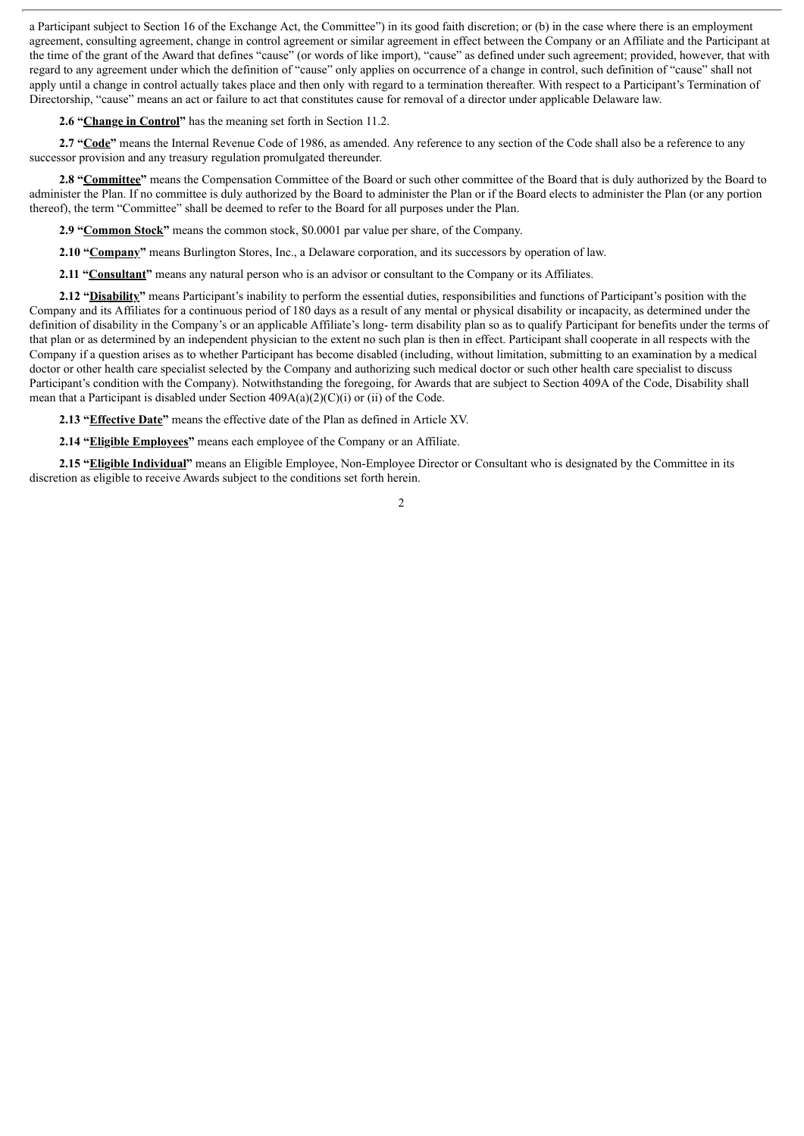a Participant subject to Section 16 of the Exchange Act, the Committee") in its good faith discretion; or (b) in the case where there is an employment agreement, consulting agreement, change in control agreement or similar agreement in effect between the Company or an Affiliate and the Participant at the time of the grant of the Award that defines "cause" (or words of like import), "cause" as defined under such agreement; provided, however, that with regard to any agreement under which the definition of "cause" only applies on occurrence of a change in control, such definition of "cause" shall not apply until a change in control actually takes place and then only with regard to a termination thereafter. With respect to a Participant's Termination of Directorship, "cause" means an act or failure to act that constitutes cause for removal of a director under applicable Delaware law.

**2.6 "Change in Control"** has the meaning set forth in Section 11.2.

**2.7 "Code"** means the Internal Revenue Code of 1986, as amended. Any reference to any section of the Code shall also be a reference to any successor provision and any treasury regulation promulgated thereunder.

**2.8 "Committee"** means the Compensation Committee of the Board or such other committee of the Board that is duly authorized by the Board to administer the Plan. If no committee is duly authorized by the Board to administer the Plan or if the Board elects to administer the Plan (or any portion thereof), the term "Committee" shall be deemed to refer to the Board for all purposes under the Plan.

**2.9 "Common Stock"** means the common stock, \$0.0001 par value per share, of the Company.

**2.10 "Company"** means Burlington Stores, Inc., a Delaware corporation, and its successors by operation of law.

**2.11 "Consultant"** means any natural person who is an advisor or consultant to the Company or its Affiliates.

**2.12 "Disability"** means Participant's inability to perform the essential duties, responsibilities and functions of Participant's position with the Company and its Affiliates for a continuous period of 180 days as a result of any mental or physical disability or incapacity, as determined under the definition of disability in the Company's or an applicable Affiliate's long- term disability plan so as to qualify Participant for benefits under the terms of that plan or as determined by an independent physician to the extent no such plan is then in effect. Participant shall cooperate in all respects with the Company if a question arises as to whether Participant has become disabled (including, without limitation, submitting to an examination by a medical doctor or other health care specialist selected by the Company and authorizing such medical doctor or such other health care specialist to discuss Participant's condition with the Company). Notwithstanding the foregoing, for Awards that are subject to Section 409A of the Code, Disability shall mean that a Participant is disabled under Section 409A(a)(2)(C)(i) or (ii) of the Code.

**2.13 "Effective Date"** means the effective date of the Plan as defined in Article XV.

**2.14 "Eligible Employees"** means each employee of the Company or an Affiliate.

**2.15 "Eligible Individual"** means an Eligible Employee, Non-Employee Director or Consultant who is designated by the Committee in its discretion as eligible to receive Awards subject to the conditions set forth herein.

 $\mathfrak{D}$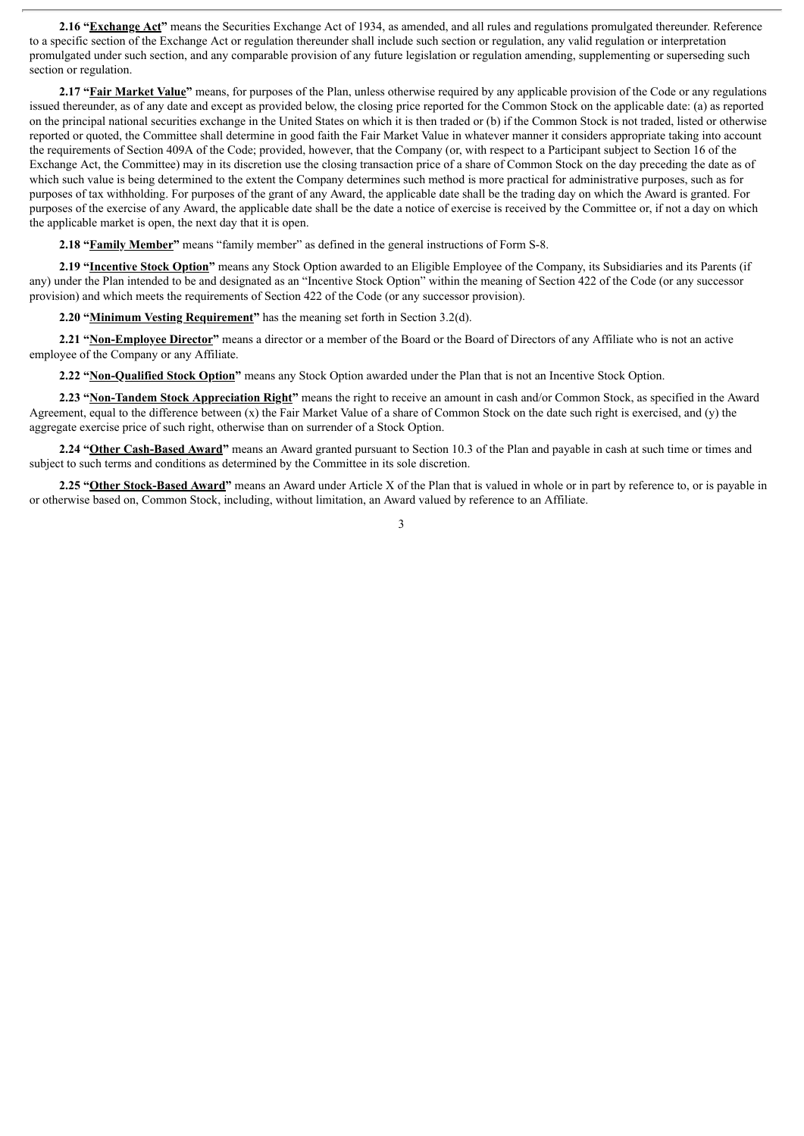**2.16 "Exchange Act"** means the Securities Exchange Act of 1934, as amended, and all rules and regulations promulgated thereunder. Reference to a specific section of the Exchange Act or regulation thereunder shall include such section or regulation, any valid regulation or interpretation promulgated under such section, and any comparable provision of any future legislation or regulation amending, supplementing or superseding such section or regulation.

**2.17 "Fair Market Value"** means, for purposes of the Plan, unless otherwise required by any applicable provision of the Code or any regulations issued thereunder, as of any date and except as provided below, the closing price reported for the Common Stock on the applicable date: (a) as reported on the principal national securities exchange in the United States on which it is then traded or (b) if the Common Stock is not traded, listed or otherwise reported or quoted, the Committee shall determine in good faith the Fair Market Value in whatever manner it considers appropriate taking into account the requirements of Section 409A of the Code; provided, however, that the Company (or, with respect to a Participant subject to Section 16 of the Exchange Act, the Committee) may in its discretion use the closing transaction price of a share of Common Stock on the day preceding the date as of which such value is being determined to the extent the Company determines such method is more practical for administrative purposes, such as for purposes of tax withholding. For purposes of the grant of any Award, the applicable date shall be the trading day on which the Award is granted. For purposes of the exercise of any Award, the applicable date shall be the date a notice of exercise is received by the Committee or, if not a day on which the applicable market is open, the next day that it is open.

**2.18 "Family Member"** means "family member" as defined in the general instructions of Form S-8.

**2.19 "Incentive Stock Option"** means any Stock Option awarded to an Eligible Employee of the Company, its Subsidiaries and its Parents (if any) under the Plan intended to be and designated as an "Incentive Stock Option" within the meaning of Section 422 of the Code (or any successor provision) and which meets the requirements of Section 422 of the Code (or any successor provision).

**2.20 "Minimum Vesting Requirement"** has the meaning set forth in Section 3.2(d).

**2.21 "Non-Employee Director"** means a director or a member of the Board or the Board of Directors of any Affiliate who is not an active employee of the Company or any Affiliate.

**2.22 "Non-Qualified Stock Option"** means any Stock Option awarded under the Plan that is not an Incentive Stock Option.

**2.23 "Non-Tandem Stock Appreciation Right"** means the right to receive an amount in cash and/or Common Stock, as specified in the Award Agreement, equal to the difference between (x) the Fair Market Value of a share of Common Stock on the date such right is exercised, and (y) the aggregate exercise price of such right, otherwise than on surrender of a Stock Option.

**2.24 "Other Cash-Based Award"** means an Award granted pursuant to Section 10.3 of the Plan and payable in cash at such time or times and subject to such terms and conditions as determined by the Committee in its sole discretion.

**2.25 "Other Stock-Based Award"** means an Award under Article X of the Plan that is valued in whole or in part by reference to, or is payable in or otherwise based on, Common Stock, including, without limitation, an Award valued by reference to an Affiliate.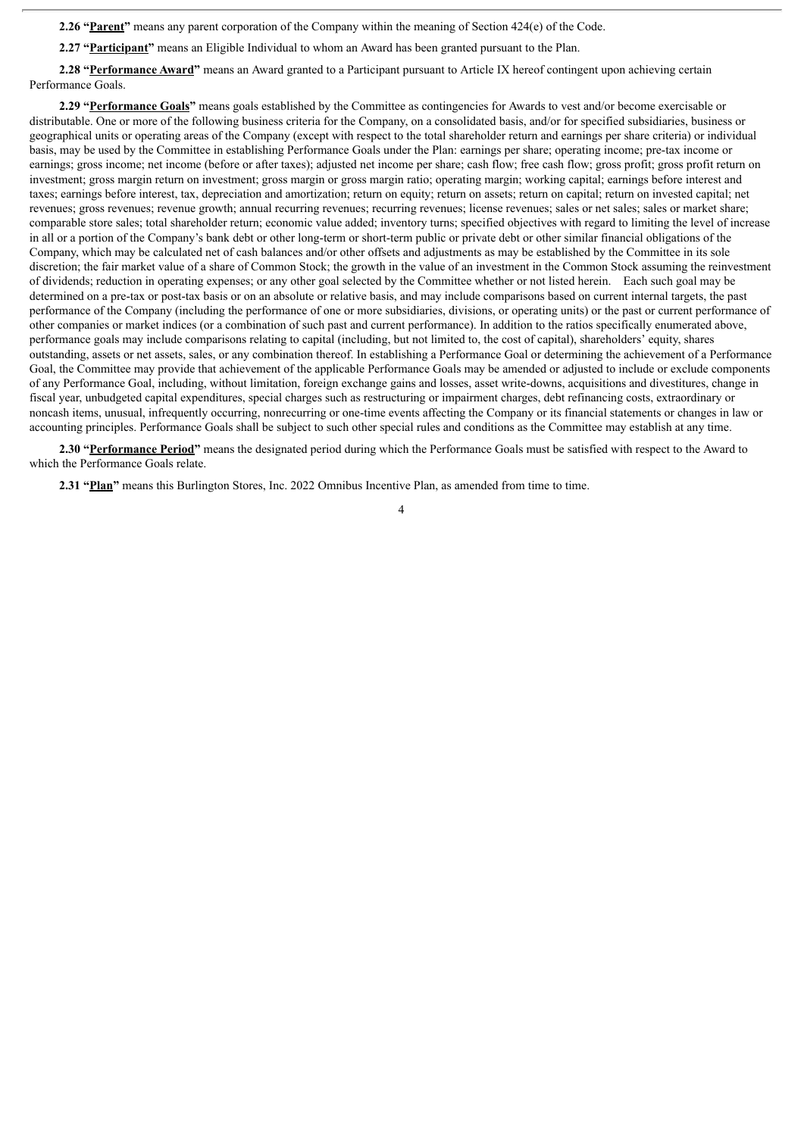**2.26 "Parent"** means any parent corporation of the Company within the meaning of Section 424(e) of the Code.

**2.27 "Participant"** means an Eligible Individual to whom an Award has been granted pursuant to the Plan.

**2.28 "Performance Award"** means an Award granted to a Participant pursuant to Article IX hereof contingent upon achieving certain Performance Goals.

**2.29 "Performance Goals"** means goals established by the Committee as contingencies for Awards to vest and/or become exercisable or distributable. One or more of the following business criteria for the Company, on a consolidated basis, and/or for specified subsidiaries, business or geographical units or operating areas of the Company (except with respect to the total shareholder return and earnings per share criteria) or individual basis, may be used by the Committee in establishing Performance Goals under the Plan: earnings per share; operating income; pre-tax income or earnings; gross income; net income (before or after taxes); adjusted net income per share; cash flow; free cash flow; gross profit; gross profit return on investment; gross margin return on investment; gross margin or gross margin ratio; operating margin; working capital; earnings before interest and taxes; earnings before interest, tax, depreciation and amortization; return on equity; return on assets; return on capital; return on invested capital; net revenues; gross revenues; revenue growth; annual recurring revenues; recurring revenues; license revenues; sales or net sales; sales or market share; comparable store sales; total shareholder return; economic value added; inventory turns; specified objectives with regard to limiting the level of increase in all or a portion of the Company's bank debt or other long-term or short-term public or private debt or other similar financial obligations of the Company, which may be calculated net of cash balances and/or other offsets and adjustments as may be established by the Committee in its sole discretion; the fair market value of a share of Common Stock; the growth in the value of an investment in the Common Stock assuming the reinvestment of dividends; reduction in operating expenses; or any other goal selected by the Committee whether or not listed herein. Each such goal may be determined on a pre-tax or post-tax basis or on an absolute or relative basis, and may include comparisons based on current internal targets, the past performance of the Company (including the performance of one or more subsidiaries, divisions, or operating units) or the past or current performance of other companies or market indices (or a combination of such past and current performance). In addition to the ratios specifically enumerated above, performance goals may include comparisons relating to capital (including, but not limited to, the cost of capital), shareholders' equity, shares outstanding, assets or net assets, sales, or any combination thereof. In establishing a Performance Goal or determining the achievement of a Performance Goal, the Committee may provide that achievement of the applicable Performance Goals may be amended or adjusted to include or exclude components of any Performance Goal, including, without limitation, foreign exchange gains and losses, asset write-downs, acquisitions and divestitures, change in fiscal year, unbudgeted capital expenditures, special charges such as restructuring or impairment charges, debt refinancing costs, extraordinary or noncash items, unusual, infrequently occurring, nonrecurring or one-time events affecting the Company or its financial statements or changes in law or accounting principles. Performance Goals shall be subject to such other special rules and conditions as the Committee may establish at any time.

**2.30 "Performance Period"** means the designated period during which the Performance Goals must be satisfied with respect to the Award to which the Performance Goals relate.

**2.31 "Plan"** means this Burlington Stores, Inc. 2022 Omnibus Incentive Plan, as amended from time to time.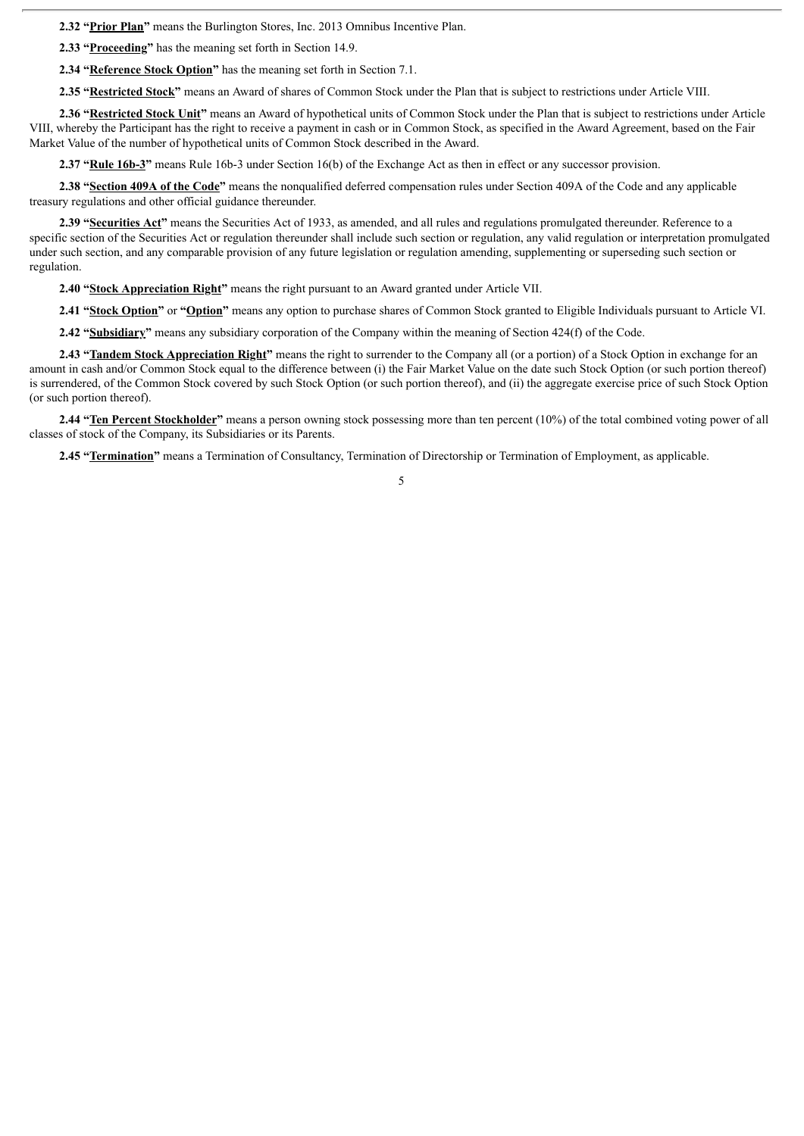**2.32 "Prior Plan"** means the Burlington Stores, Inc. 2013 Omnibus Incentive Plan.

**2.33 "Proceeding"** has the meaning set forth in Section 14.9.

**2.34 "Reference Stock Option"** has the meaning set forth in Section 7.1.

**2.35 "Restricted Stock"** means an Award of shares of Common Stock under the Plan that is subject to restrictions under Article VIII.

**2.36 "Restricted Stock Unit"** means an Award of hypothetical units of Common Stock under the Plan that is subject to restrictions under Article VIII, whereby the Participant has the right to receive a payment in cash or in Common Stock, as specified in the Award Agreement, based on the Fair Market Value of the number of hypothetical units of Common Stock described in the Award.

**2.37 "Rule 16b-3"** means Rule 16b-3 under Section 16(b) of the Exchange Act as then in effect or any successor provision.

**2.38 "Section 409A of the Code"** means the nonqualified deferred compensation rules under Section 409A of the Code and any applicable treasury regulations and other official guidance thereunder.

**2.39 "Securities Act"** means the Securities Act of 1933, as amended, and all rules and regulations promulgated thereunder. Reference to a specific section of the Securities Act or regulation thereunder shall include such section or regulation, any valid regulation or interpretation promulgated under such section, and any comparable provision of any future legislation or regulation amending, supplementing or superseding such section or regulation.

**2.40 "Stock Appreciation Right"** means the right pursuant to an Award granted under Article VII.

**2.41 "Stock Option"** or **"Option"** means any option to purchase shares of Common Stock granted to Eligible Individuals pursuant to Article VI.

**2.42 "Subsidiary"** means any subsidiary corporation of the Company within the meaning of Section 424(f) of the Code.

**2.43 "Tandem Stock Appreciation Right"** means the right to surrender to the Company all (or a portion) of a Stock Option in exchange for an amount in cash and/or Common Stock equal to the difference between (i) the Fair Market Value on the date such Stock Option (or such portion thereof) is surrendered, of the Common Stock covered by such Stock Option (or such portion thereof), and (ii) the aggregate exercise price of such Stock Option (or such portion thereof).

**2.44 "Ten Percent Stockholder"** means a person owning stock possessing more than ten percent (10%) of the total combined voting power of all classes of stock of the Company, its Subsidiaries or its Parents.

**2.45 "Termination"** means a Termination of Consultancy, Termination of Directorship or Termination of Employment, as applicable.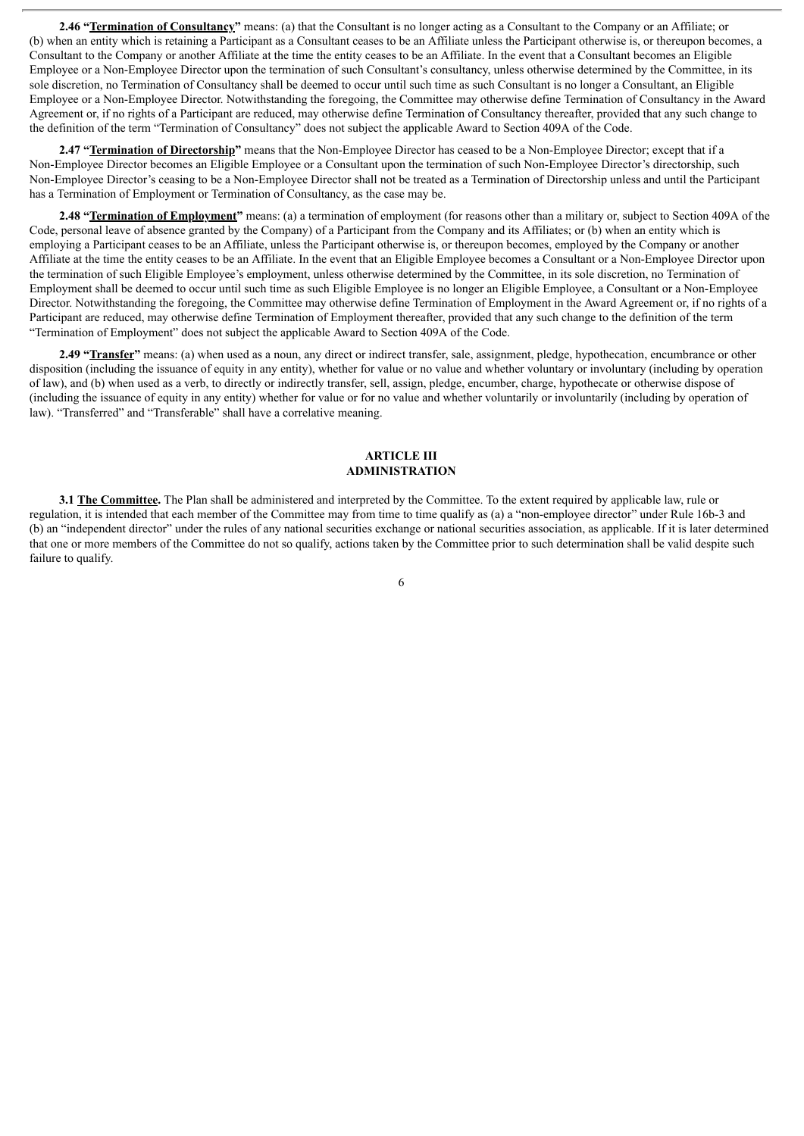**2.46 "Termination of Consultancy"** means: (a) that the Consultant is no longer acting as a Consultant to the Company or an Affiliate; or (b) when an entity which is retaining a Participant as a Consultant ceases to be an Affiliate unless the Participant otherwise is, or thereupon becomes, a Consultant to the Company or another Affiliate at the time the entity ceases to be an Affiliate. In the event that a Consultant becomes an Eligible Employee or a Non-Employee Director upon the termination of such Consultant's consultancy, unless otherwise determined by the Committee, in its sole discretion, no Termination of Consultancy shall be deemed to occur until such time as such Consultant is no longer a Consultant, an Eligible Employee or a Non-Employee Director. Notwithstanding the foregoing, the Committee may otherwise define Termination of Consultancy in the Award Agreement or, if no rights of a Participant are reduced, may otherwise define Termination of Consultancy thereafter, provided that any such change to the definition of the term "Termination of Consultancy" does not subject the applicable Award to Section 409A of the Code.

**2.47 "Termination of Directorship"** means that the Non-Employee Director has ceased to be a Non-Employee Director; except that if a Non-Employee Director becomes an Eligible Employee or a Consultant upon the termination of such Non-Employee Director's directorship, such Non-Employee Director's ceasing to be a Non-Employee Director shall not be treated as a Termination of Directorship unless and until the Participant has a Termination of Employment or Termination of Consultancy, as the case may be.

**2.48 "Termination of Employment"** means: (a) a termination of employment (for reasons other than a military or, subject to Section 409A of the Code, personal leave of absence granted by the Company) of a Participant from the Company and its Affiliates; or (b) when an entity which is employing a Participant ceases to be an Affiliate, unless the Participant otherwise is, or thereupon becomes, employed by the Company or another Affiliate at the time the entity ceases to be an Affiliate. In the event that an Eligible Employee becomes a Consultant or a Non-Employee Director upon the termination of such Eligible Employee's employment, unless otherwise determined by the Committee, in its sole discretion, no Termination of Employment shall be deemed to occur until such time as such Eligible Employee is no longer an Eligible Employee, a Consultant or a Non-Employee Director. Notwithstanding the foregoing, the Committee may otherwise define Termination of Employment in the Award Agreement or, if no rights of a Participant are reduced, may otherwise define Termination of Employment thereafter, provided that any such change to the definition of the term "Termination of Employment" does not subject the applicable Award to Section 409A of the Code.

**2.49 "Transfer"** means: (a) when used as a noun, any direct or indirect transfer, sale, assignment, pledge, hypothecation, encumbrance or other disposition (including the issuance of equity in any entity), whether for value or no value and whether voluntary or involuntary (including by operation of law), and (b) when used as a verb, to directly or indirectly transfer, sell, assign, pledge, encumber, charge, hypothecate or otherwise dispose of (including the issuance of equity in any entity) whether for value or for no value and whether voluntarily or involuntarily (including by operation of law). "Transferred" and "Transferable" shall have a correlative meaning.

#### **ARTICLE III ADMINISTRATION**

**3.1 The Committee.** The Plan shall be administered and interpreted by the Committee. To the extent required by applicable law, rule or regulation, it is intended that each member of the Committee may from time to time qualify as (a) a "non-employee director" under Rule 16b-3 and (b) an "independent director" under the rules of any national securities exchange or national securities association, as applicable. If it is later determined that one or more members of the Committee do not so qualify, actions taken by the Committee prior to such determination shall be valid despite such failure to qualify.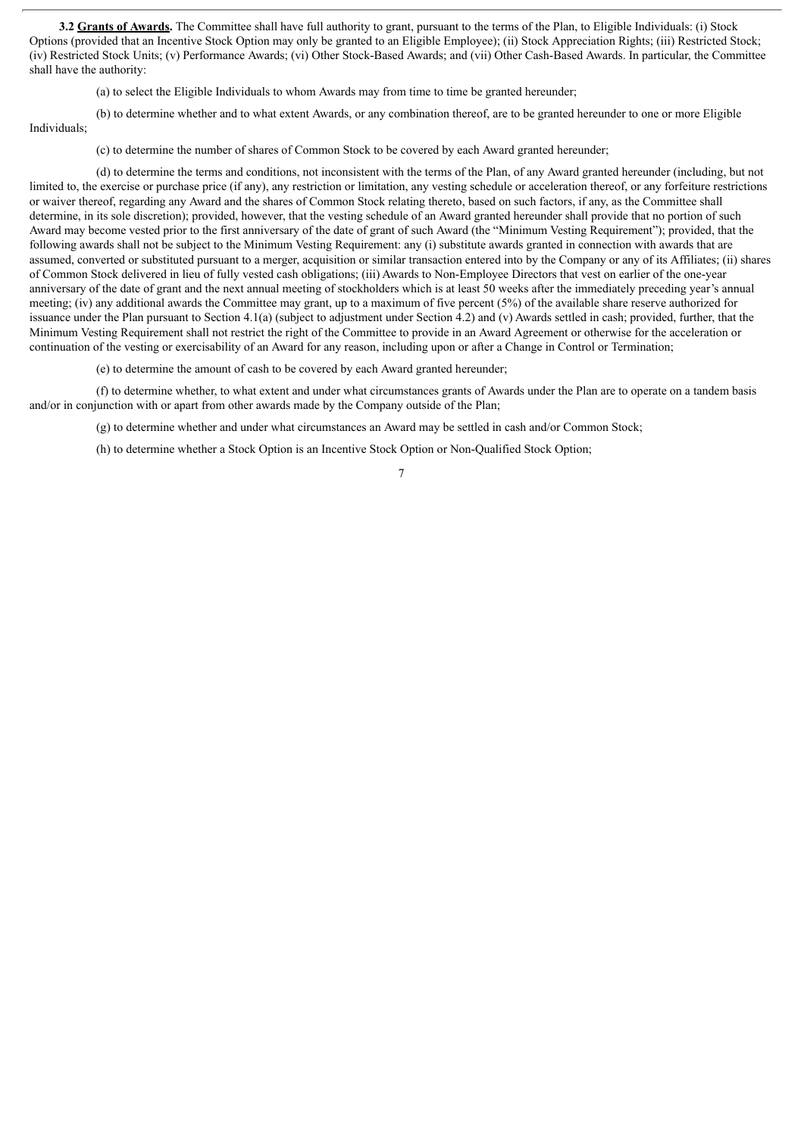**3.2 Grants of Awards.** The Committee shall have full authority to grant, pursuant to the terms of the Plan, to Eligible Individuals: (i) Stock Options (provided that an Incentive Stock Option may only be granted to an Eligible Employee); (ii) Stock Appreciation Rights; (iii) Restricted Stock; (iv) Restricted Stock Units; (v) Performance Awards; (vi) Other Stock-Based Awards; and (vii) Other Cash-Based Awards. In particular, the Committee shall have the authority:

(a) to select the Eligible Individuals to whom Awards may from time to time be granted hereunder;

(b) to determine whether and to what extent Awards, or any combination thereof, are to be granted hereunder to one or more Eligible Individuals;

(c) to determine the number of shares of Common Stock to be covered by each Award granted hereunder;

(d) to determine the terms and conditions, not inconsistent with the terms of the Plan, of any Award granted hereunder (including, but not limited to, the exercise or purchase price (if any), any restriction or limitation, any vesting schedule or acceleration thereof, or any forfeiture restrictions or waiver thereof, regarding any Award and the shares of Common Stock relating thereto, based on such factors, if any, as the Committee shall determine, in its sole discretion); provided, however, that the vesting schedule of an Award granted hereunder shall provide that no portion of such Award may become vested prior to the first anniversary of the date of grant of such Award (the "Minimum Vesting Requirement"); provided, that the following awards shall not be subject to the Minimum Vesting Requirement: any (i) substitute awards granted in connection with awards that are assumed, converted or substituted pursuant to a merger, acquisition or similar transaction entered into by the Company or any of its Affiliates; (ii) shares of Common Stock delivered in lieu of fully vested cash obligations; (iii) Awards to Non-Employee Directors that vest on earlier of the one-year anniversary of the date of grant and the next annual meeting of stockholders which is at least 50 weeks after the immediately preceding year's annual meeting; (iv) any additional awards the Committee may grant, up to a maximum of five percent (5%) of the available share reserve authorized for issuance under the Plan pursuant to Section 4.1(a) (subject to adjustment under Section 4.2) and (v) Awards settled in cash; provided, further, that the Minimum Vesting Requirement shall not restrict the right of the Committee to provide in an Award Agreement or otherwise for the acceleration or continuation of the vesting or exercisability of an Award for any reason, including upon or after a Change in Control or Termination;

(e) to determine the amount of cash to be covered by each Award granted hereunder;

(f) to determine whether, to what extent and under what circumstances grants of Awards under the Plan are to operate on a tandem basis and/or in conjunction with or apart from other awards made by the Company outside of the Plan;

(g) to determine whether and under what circumstances an Award may be settled in cash and/or Common Stock;

(h) to determine whether a Stock Option is an Incentive Stock Option or Non-Qualified Stock Option;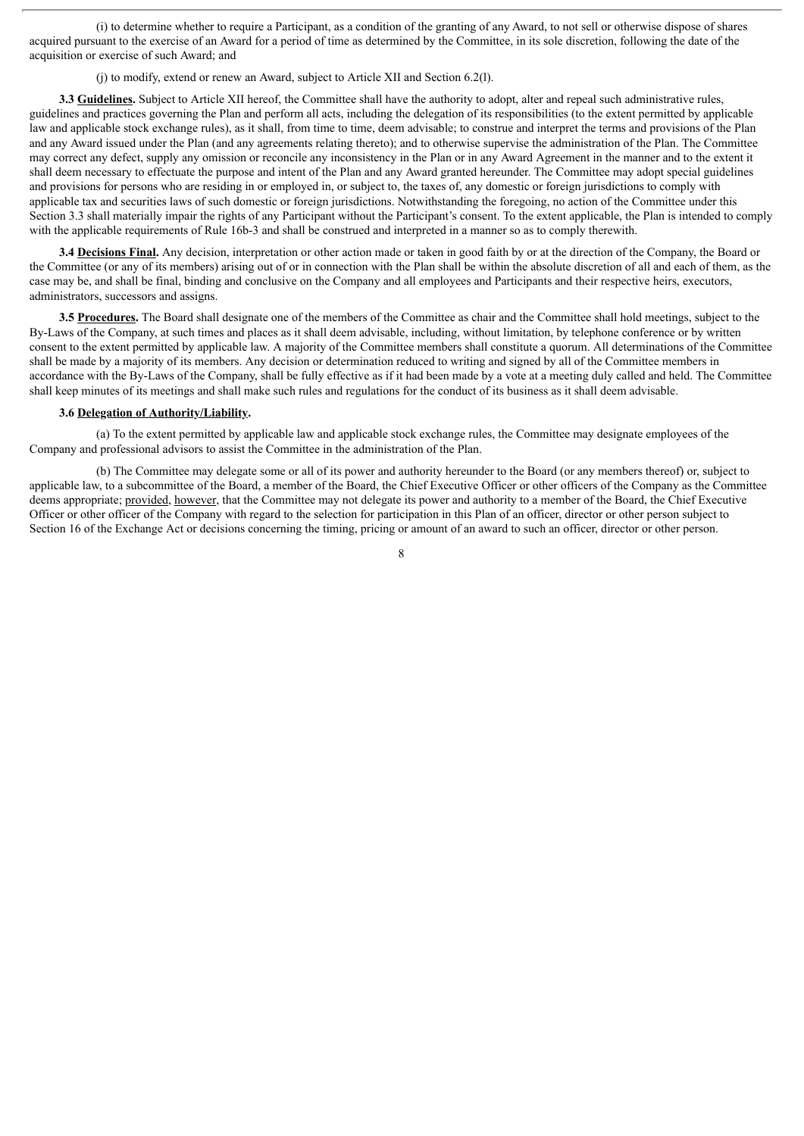(i) to determine whether to require a Participant, as a condition of the granting of any Award, to not sell or otherwise dispose of shares acquired pursuant to the exercise of an Award for a period of time as determined by the Committee, in its sole discretion, following the date of the acquisition or exercise of such Award; and

(j) to modify, extend or renew an Award, subject to Article XII and Section 6.2(l).

**3.3 Guidelines.** Subject to Article XII hereof, the Committee shall have the authority to adopt, alter and repeal such administrative rules. guidelines and practices governing the Plan and perform all acts, including the delegation of its responsibilities (to the extent permitted by applicable law and applicable stock exchange rules), as it shall, from time to time, deem advisable; to construe and interpret the terms and provisions of the Plan and any Award issued under the Plan (and any agreements relating thereto); and to otherwise supervise the administration of the Plan. The Committee may correct any defect, supply any omission or reconcile any inconsistency in the Plan or in any Award Agreement in the manner and to the extent it shall deem necessary to effectuate the purpose and intent of the Plan and any Award granted hereunder. The Committee may adopt special guidelines and provisions for persons who are residing in or employed in, or subject to, the taxes of, any domestic or foreign jurisdictions to comply with applicable tax and securities laws of such domestic or foreign jurisdictions. Notwithstanding the foregoing, no action of the Committee under this Section 3.3 shall materially impair the rights of any Participant without the Participant's consent. To the extent applicable, the Plan is intended to comply with the applicable requirements of Rule 16b-3 and shall be construed and interpreted in a manner so as to comply therewith.

**3.4 Decisions Final.** Any decision, interpretation or other action made or taken in good faith by or at the direction of the Company, the Board or the Committee (or any of its members) arising out of or in connection with the Plan shall be within the absolute discretion of all and each of them, as the case may be, and shall be final, binding and conclusive on the Company and all employees and Participants and their respective heirs, executors, administrators, successors and assigns.

**3.5** Procedures. The Board shall designate one of the members of the Committee as chair and the Committee shall hold meetings, subject to the By-Laws of the Company, at such times and places as it shall deem advisable, including, without limitation, by telephone conference or by written consent to the extent permitted by applicable law. A majority of the Committee members shall constitute a quorum. All determinations of the Committee shall be made by a majority of its members. Any decision or determination reduced to writing and signed by all of the Committee members in accordance with the By-Laws of the Company, shall be fully effective as if it had been made by a vote at a meeting duly called and held. The Committee shall keep minutes of its meetings and shall make such rules and regulations for the conduct of its business as it shall deem advisable.

#### **3.6 Delegation of Authority/Liability.**

(a) To the extent permitted by applicable law and applicable stock exchange rules, the Committee may designate employees of the Company and professional advisors to assist the Committee in the administration of the Plan.

(b) The Committee may delegate some or all of its power and authority hereunder to the Board (or any members thereof) or, subject to applicable law, to a subcommittee of the Board, a member of the Board, the Chief Executive Officer or other officers of the Company as the Committee deems appropriate; provided, however, that the Committee may not delegate its power and authority to a member of the Board, the Chief Executive Officer or other officer of the Company with regard to the selection for participation in this Plan of an officer, director or other person subject to Section 16 of the Exchange Act or decisions concerning the timing, pricing or amount of an award to such an officer, director or other person.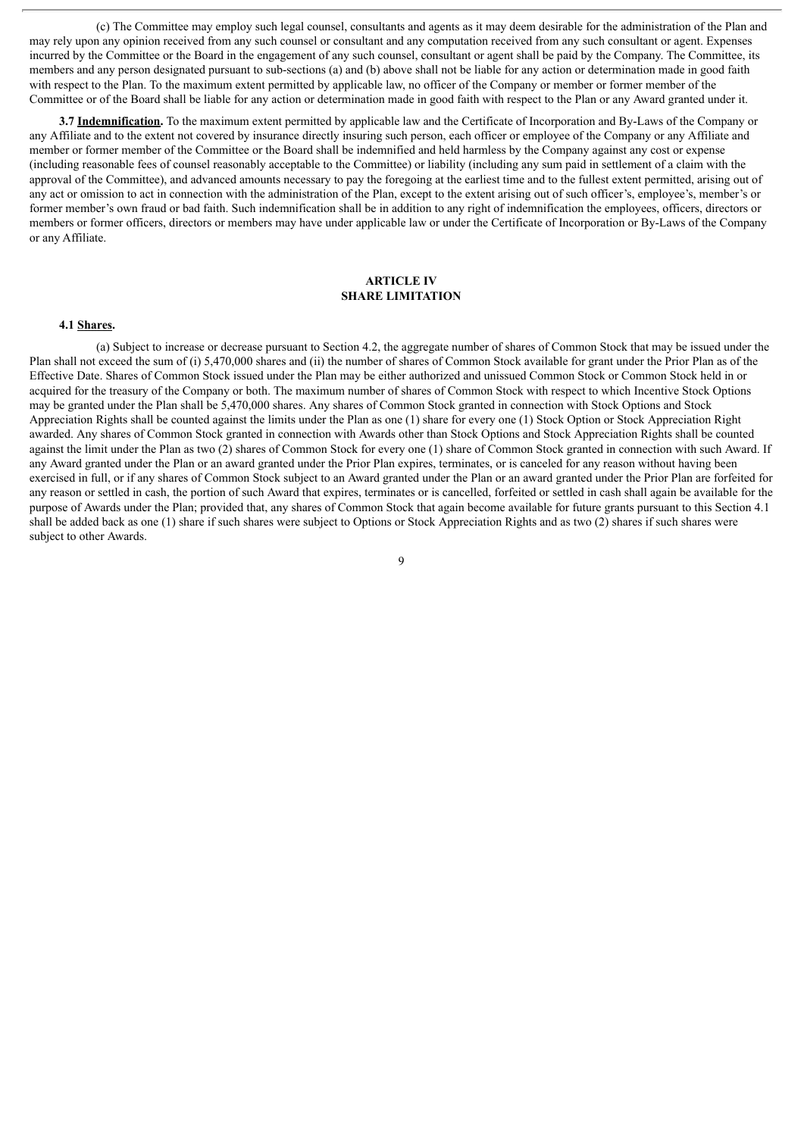(c) The Committee may employ such legal counsel, consultants and agents as it may deem desirable for the administration of the Plan and may rely upon any opinion received from any such counsel or consultant and any computation received from any such consultant or agent. Expenses incurred by the Committee or the Board in the engagement of any such counsel, consultant or agent shall be paid by the Company. The Committee, its members and any person designated pursuant to sub-sections (a) and (b) above shall not be liable for any action or determination made in good faith with respect to the Plan. To the maximum extent permitted by applicable law, no officer of the Company or member or former member of the Committee or of the Board shall be liable for any action or determination made in good faith with respect to the Plan or any Award granted under it.

**3.7 Indemnification.** To the maximum extent permitted by applicable law and the Certificate of Incorporation and By-Laws of the Company or any Affiliate and to the extent not covered by insurance directly insuring such person, each officer or employee of the Company or any Affiliate and member or former member of the Committee or the Board shall be indemnified and held harmless by the Company against any cost or expense (including reasonable fees of counsel reasonably acceptable to the Committee) or liability (including any sum paid in settlement of a claim with the approval of the Committee), and advanced amounts necessary to pay the foregoing at the earliest time and to the fullest extent permitted, arising out of any act or omission to act in connection with the administration of the Plan, except to the extent arising out of such officer's, employee's, member's or former member's own fraud or bad faith. Such indemnification shall be in addition to any right of indemnification the employees, officers, directors or members or former officers, directors or members may have under applicable law or under the Certificate of Incorporation or By-Laws of the Company or any Affiliate.

#### **ARTICLE IV SHARE LIMITATION**

#### **4.1 Shares.**

(a) Subject to increase or decrease pursuant to Section 4.2, the aggregate number of shares of Common Stock that may be issued under the Plan shall not exceed the sum of (i) 5,470,000 shares and (ii) the number of shares of Common Stock available for grant under the Prior Plan as of the Effective Date. Shares of Common Stock issued under the Plan may be either authorized and unissued Common Stock or Common Stock held in or acquired for the treasury of the Company or both. The maximum number of shares of Common Stock with respect to which Incentive Stock Options may be granted under the Plan shall be 5,470,000 shares. Any shares of Common Stock granted in connection with Stock Options and Stock Appreciation Rights shall be counted against the limits under the Plan as one (1) share for every one (1) Stock Option or Stock Appreciation Right awarded. Any shares of Common Stock granted in connection with Awards other than Stock Options and Stock Appreciation Rights shall be counted against the limit under the Plan as two (2) shares of Common Stock for every one (1) share of Common Stock granted in connection with such Award. If any Award granted under the Plan or an award granted under the Prior Plan expires, terminates, or is canceled for any reason without having been exercised in full, or if any shares of Common Stock subject to an Award granted under the Plan or an award granted under the Prior Plan are forfeited for any reason or settled in cash, the portion of such Award that expires, terminates or is cancelled, forfeited or settled in cash shall again be available for the purpose of Awards under the Plan; provided that, any shares of Common Stock that again become available for future grants pursuant to this Section 4.1 shall be added back as one (1) share if such shares were subject to Options or Stock Appreciation Rights and as two (2) shares if such shares were subject to other Awards.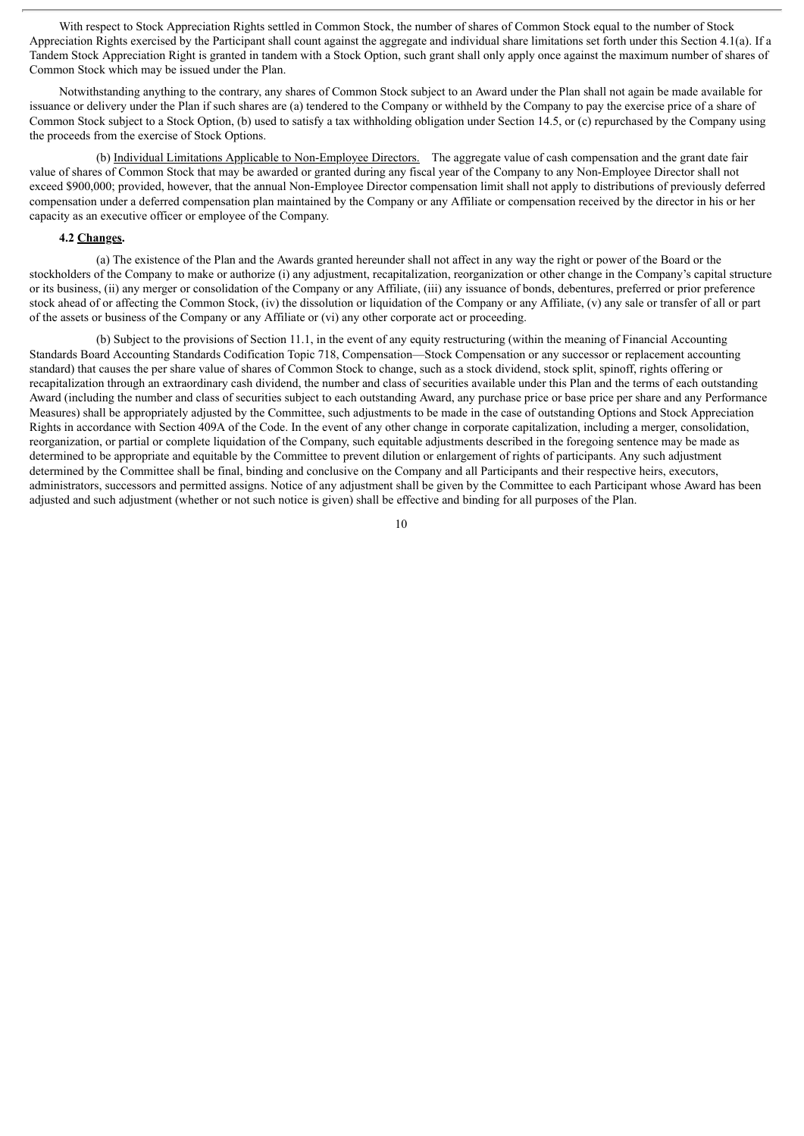With respect to Stock Appreciation Rights settled in Common Stock, the number of shares of Common Stock equal to the number of Stock Appreciation Rights exercised by the Participant shall count against the aggregate and individual share limitations set forth under this Section 4.1(a). If a Tandem Stock Appreciation Right is granted in tandem with a Stock Option, such grant shall only apply once against the maximum number of shares of Common Stock which may be issued under the Plan.

Notwithstanding anything to the contrary, any shares of Common Stock subject to an Award under the Plan shall not again be made available for issuance or delivery under the Plan if such shares are (a) tendered to the Company or withheld by the Company to pay the exercise price of a share of Common Stock subject to a Stock Option, (b) used to satisfy a tax withholding obligation under Section 14.5, or (c) repurchased by the Company using the proceeds from the exercise of Stock Options.

(b) Individual Limitations Applicable to Non-Employee Directors. The aggregate value of cash compensation and the grant date fair value of shares of Common Stock that may be awarded or granted during any fiscal year of the Company to any Non-Employee Director shall not exceed \$900,000; provided, however, that the annual Non-Employee Director compensation limit shall not apply to distributions of previously deferred compensation under a deferred compensation plan maintained by the Company or any Affiliate or compensation received by the director in his or her capacity as an executive officer or employee of the Company.

#### **4.2 Changes.**

(a) The existence of the Plan and the Awards granted hereunder shall not affect in any way the right or power of the Board or the stockholders of the Company to make or authorize (i) any adjustment, recapitalization, reorganization or other change in the Company's capital structure or its business, (ii) any merger or consolidation of the Company or any Affiliate, (iii) any issuance of bonds, debentures, preferred or prior preference stock ahead of or affecting the Common Stock, (iv) the dissolution or liquidation of the Company or any Affiliate, (v) any sale or transfer of all or part of the assets or business of the Company or any Affiliate or (vi) any other corporate act or proceeding.

(b) Subject to the provisions of Section 11.1, in the event of any equity restructuring (within the meaning of Financial Accounting Standards Board Accounting Standards Codification Topic 718, Compensation—Stock Compensation or any successor or replacement accounting standard) that causes the per share value of shares of Common Stock to change, such as a stock dividend, stock split, spinoff, rights offering or recapitalization through an extraordinary cash dividend, the number and class of securities available under this Plan and the terms of each outstanding Award (including the number and class of securities subject to each outstanding Award, any purchase price or base price per share and any Performance Measures) shall be appropriately adjusted by the Committee, such adjustments to be made in the case of outstanding Options and Stock Appreciation Rights in accordance with Section 409A of the Code. In the event of any other change in corporate capitalization, including a merger, consolidation, reorganization, or partial or complete liquidation of the Company, such equitable adjustments described in the foregoing sentence may be made as determined to be appropriate and equitable by the Committee to prevent dilution or enlargement of rights of participants. Any such adjustment determined by the Committee shall be final, binding and conclusive on the Company and all Participants and their respective heirs, executors, administrators, successors and permitted assigns. Notice of any adjustment shall be given by the Committee to each Participant whose Award has been adjusted and such adjustment (whether or not such notice is given) shall be effective and binding for all purposes of the Plan.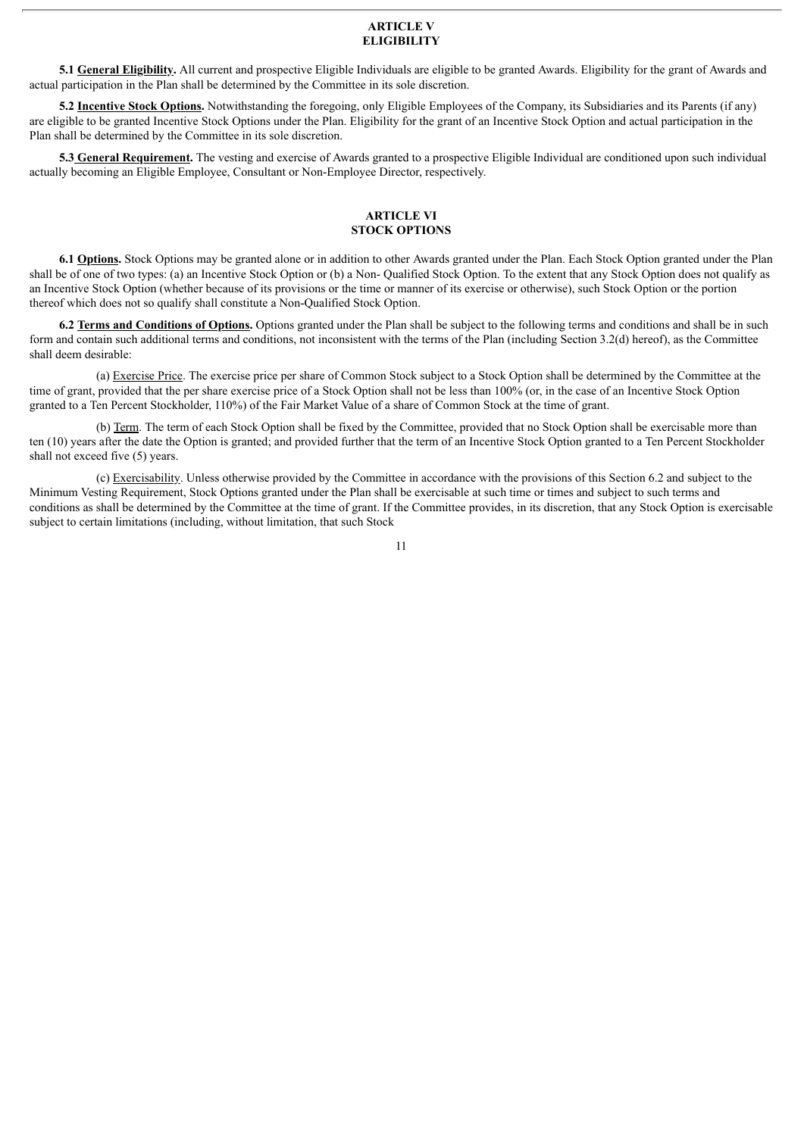#### **ARTICLE V ELIGIBILITY**

**5.1 General Eligibility.** All current and prospective Eligible Individuals are eligible to be granted Awards. Eligibility for the grant of Awards and actual participation in the Plan shall be determined by the Committee in its sole discretion.

**5.2 Incentive Stock Options.** Notwithstanding the foregoing, only Eligible Employees of the Company, its Subsidiaries and its Parents (if any) are eligible to be granted Incentive Stock Options under the Plan. Eligibility for the grant of an Incentive Stock Option and actual participation in the Plan shall be determined by the Committee in its sole discretion.

**5.3 General Requirement.** The vesting and exercise of Awards granted to a prospective Eligible Individual are conditioned upon such individual actually becoming an Eligible Employee, Consultant or Non-Employee Director, respectively.

# **ARTICLE VI STOCK OPTIONS**

**6.1 Options.** Stock Options may be granted alone or in addition to other Awards granted under the Plan. Each Stock Option granted under the Plan shall be of one of two types: (a) an Incentive Stock Option or (b) a Non- Qualified Stock Option. To the extent that any Stock Option does not qualify as an Incentive Stock Option (whether because of its provisions or the time or manner of its exercise or otherwise), such Stock Option or the portion thereof which does not so qualify shall constitute a Non-Qualified Stock Option.

**6.2 Terms and Conditions of Options.** Options granted under the Plan shall be subject to the following terms and conditions and shall be in such form and contain such additional terms and conditions, not inconsistent with the terms of the Plan (including Section 3.2(d) hereof), as the Committee shall deem desirable:

(a) Exercise Price. The exercise price per share of Common Stock subject to a Stock Option shall be determined by the Committee at the time of grant, provided that the per share exercise price of a Stock Option shall not be less than 100% (or, in the case of an Incentive Stock Option granted to a Ten Percent Stockholder, 110%) of the Fair Market Value of a share of Common Stock at the time of grant.

(b) Term. The term of each Stock Option shall be fixed by the Committee, provided that no Stock Option shall be exercisable more than ten (10) years after the date the Option is granted; and provided further that the term of an Incentive Stock Option granted to a Ten Percent Stockholder shall not exceed five (5) years.

(c) Exercisability. Unless otherwise provided by the Committee in accordance with the provisions of this Section 6.2 and subject to the Minimum Vesting Requirement, Stock Options granted under the Plan shall be exercisable at such time or times and subject to such terms and conditions as shall be determined by the Committee at the time of grant. If the Committee provides, in its discretion, that any Stock Option is exercisable subject to certain limitations (including, without limitation, that such Stock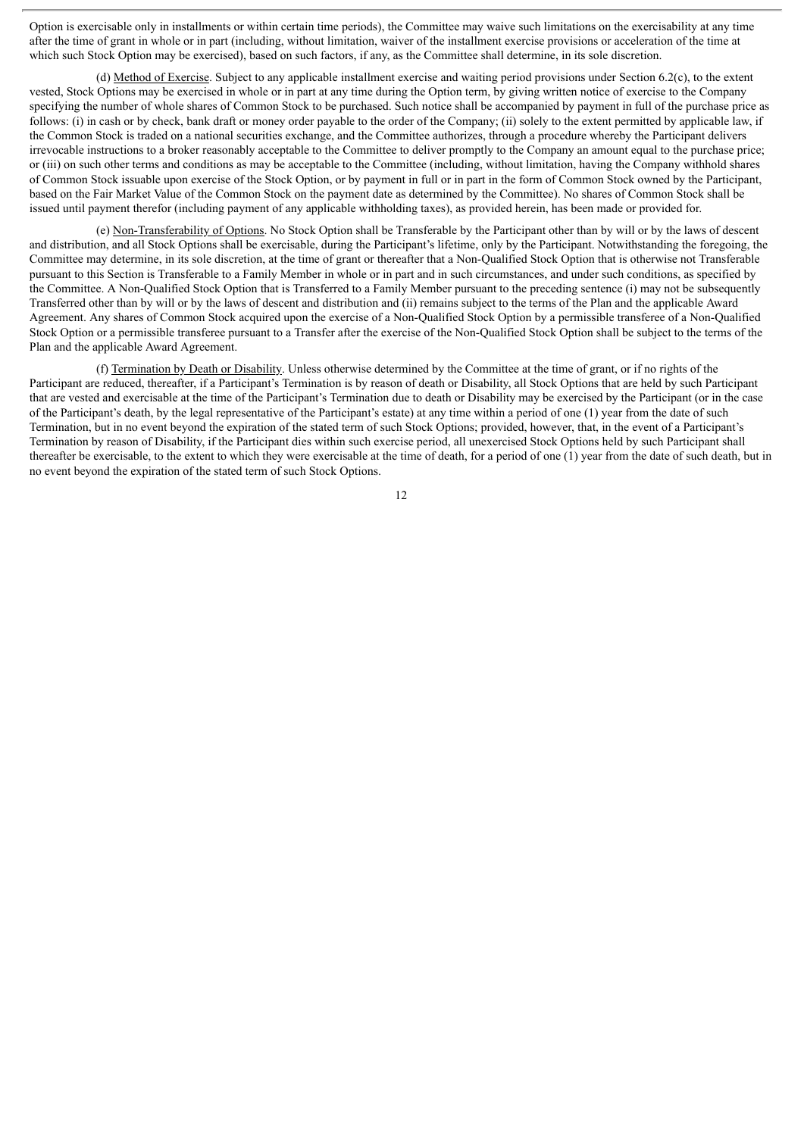Option is exercisable only in installments or within certain time periods), the Committee may waive such limitations on the exercisability at any time after the time of grant in whole or in part (including, without limitation, waiver of the installment exercise provisions or acceleration of the time at which such Stock Option may be exercised), based on such factors, if any, as the Committee shall determine, in its sole discretion.

(d) Method of Exercise. Subject to any applicable installment exercise and waiting period provisions under Section 6.2(c), to the extent vested, Stock Options may be exercised in whole or in part at any time during the Option term, by giving written notice of exercise to the Company specifying the number of whole shares of Common Stock to be purchased. Such notice shall be accompanied by payment in full of the purchase price as follows: (i) in cash or by check, bank draft or money order payable to the order of the Company; (ii) solely to the extent permitted by applicable law, if the Common Stock is traded on a national securities exchange, and the Committee authorizes, through a procedure whereby the Participant delivers irrevocable instructions to a broker reasonably acceptable to the Committee to deliver promptly to the Company an amount equal to the purchase price; or (iii) on such other terms and conditions as may be acceptable to the Committee (including, without limitation, having the Company withhold shares of Common Stock issuable upon exercise of the Stock Option, or by payment in full or in part in the form of Common Stock owned by the Participant, based on the Fair Market Value of the Common Stock on the payment date as determined by the Committee). No shares of Common Stock shall be issued until payment therefor (including payment of any applicable withholding taxes), as provided herein, has been made or provided for.

(e) Non-Transferability of Options. No Stock Option shall be Transferable by the Participant other than by will or by the laws of descent and distribution, and all Stock Options shall be exercisable, during the Participant's lifetime, only by the Participant. Notwithstanding the foregoing, the Committee may determine, in its sole discretion, at the time of grant or thereafter that a Non-Qualified Stock Option that is otherwise not Transferable pursuant to this Section is Transferable to a Family Member in whole or in part and in such circumstances, and under such conditions, as specified by the Committee. A Non-Qualified Stock Option that is Transferred to a Family Member pursuant to the preceding sentence (i) may not be subsequently Transferred other than by will or by the laws of descent and distribution and (ii) remains subject to the terms of the Plan and the applicable Award Agreement. Any shares of Common Stock acquired upon the exercise of a Non-Qualified Stock Option by a permissible transferee of a Non-Qualified Stock Option or a permissible transferee pursuant to a Transfer after the exercise of the Non-Qualified Stock Option shall be subject to the terms of the Plan and the applicable Award Agreement.

(f) Termination by Death or Disability. Unless otherwise determined by the Committee at the time of grant, or if no rights of the Participant are reduced, thereafter, if a Participant's Termination is by reason of death or Disability, all Stock Options that are held by such Participant that are vested and exercisable at the time of the Participant's Termination due to death or Disability may be exercised by the Participant (or in the case of the Participant's death, by the legal representative of the Participant's estate) at any time within a period of one (1) year from the date of such Termination, but in no event beyond the expiration of the stated term of such Stock Options; provided, however, that, in the event of a Participant's Termination by reason of Disability, if the Participant dies within such exercise period, all unexercised Stock Options held by such Participant shall thereafter be exercisable, to the extent to which they were exercisable at the time of death, for a period of one (1) year from the date of such death, but in no event beyond the expiration of the stated term of such Stock Options.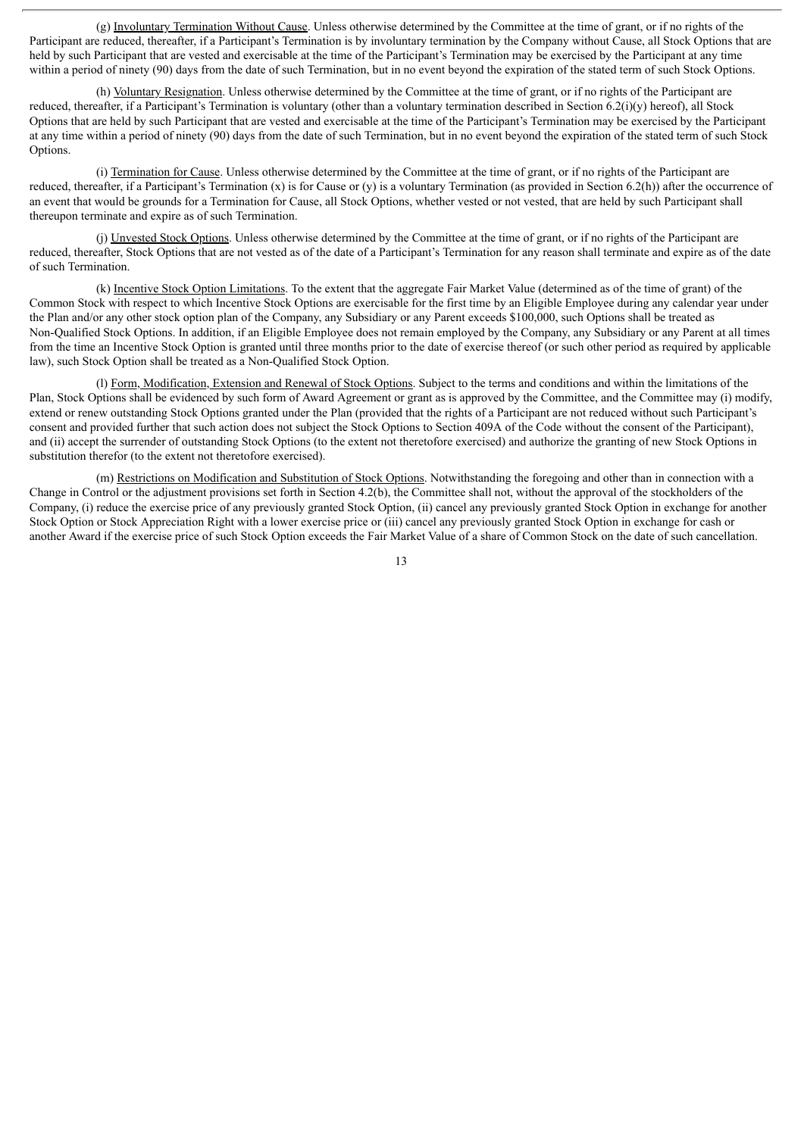(g) Involuntary Termination Without Cause. Unless otherwise determined by the Committee at the time of grant, or if no rights of the Participant are reduced, thereafter, if a Participant's Termination is by involuntary termination by the Company without Cause, all Stock Options that are held by such Participant that are vested and exercisable at the time of the Participant's Termination may be exercised by the Participant at any time within a period of ninety (90) days from the date of such Termination, but in no event beyond the expiration of the stated term of such Stock Options.

(h) Voluntary Resignation. Unless otherwise determined by the Committee at the time of grant, or if no rights of the Participant are reduced, thereafter, if a Participant's Termination is voluntary (other than a voluntary termination described in Section 6.2(i)(y) hereof), all Stock Options that are held by such Participant that are vested and exercisable at the time of the Participant's Termination may be exercised by the Participant at any time within a period of ninety (90) days from the date of such Termination, but in no event beyond the expiration of the stated term of such Stock Options.

(i) Termination for Cause. Unless otherwise determined by the Committee at the time of grant, or if no rights of the Participant are reduced, thereafter, if a Participant's Termination  $(x)$  is for Cause or  $(y)$  is a voluntary Termination (as provided in Section 6.2(h)) after the occurrence of an event that would be grounds for a Termination for Cause, all Stock Options, whether vested or not vested, that are held by such Participant shall thereupon terminate and expire as of such Termination.

(j) Unvested Stock Options. Unless otherwise determined by the Committee at the time of grant, or if no rights of the Participant are reduced, thereafter, Stock Options that are not vested as of the date of a Participant's Termination for any reason shall terminate and expire as of the date of such Termination.

(k) Incentive Stock Option Limitations. To the extent that the aggregate Fair Market Value (determined as of the time of grant) of the Common Stock with respect to which Incentive Stock Options are exercisable for the first time by an Eligible Employee during any calendar year under the Plan and/or any other stock option plan of the Company, any Subsidiary or any Parent exceeds \$100,000, such Options shall be treated as Non-Qualified Stock Options. In addition, if an Eligible Employee does not remain employed by the Company, any Subsidiary or any Parent at all times from the time an Incentive Stock Option is granted until three months prior to the date of exercise thereof (or such other period as required by applicable law), such Stock Option shall be treated as a Non-Qualified Stock Option.

(l) Form, Modification, Extension and Renewal of Stock Options. Subject to the terms and conditions and within the limitations of the Plan, Stock Options shall be evidenced by such form of Award Agreement or grant as is approved by the Committee, and the Committee may (i) modify, extend or renew outstanding Stock Options granted under the Plan (provided that the rights of a Participant are not reduced without such Participant's consent and provided further that such action does not subject the Stock Options to Section 409A of the Code without the consent of the Participant), and (ii) accept the surrender of outstanding Stock Options (to the extent not theretofore exercised) and authorize the granting of new Stock Options in substitution therefor (to the extent not theretofore exercised).

(m) Restrictions on Modification and Substitution of Stock Options. Notwithstanding the foregoing and other than in connection with a Change in Control or the adjustment provisions set forth in Section 4.2(b), the Committee shall not, without the approval of the stockholders of the Company, (i) reduce the exercise price of any previously granted Stock Option, (ii) cancel any previously granted Stock Option in exchange for another Stock Option or Stock Appreciation Right with a lower exercise price or (iii) cancel any previously granted Stock Option in exchange for cash or another Award if the exercise price of such Stock Option exceeds the Fair Market Value of a share of Common Stock on the date of such cancellation.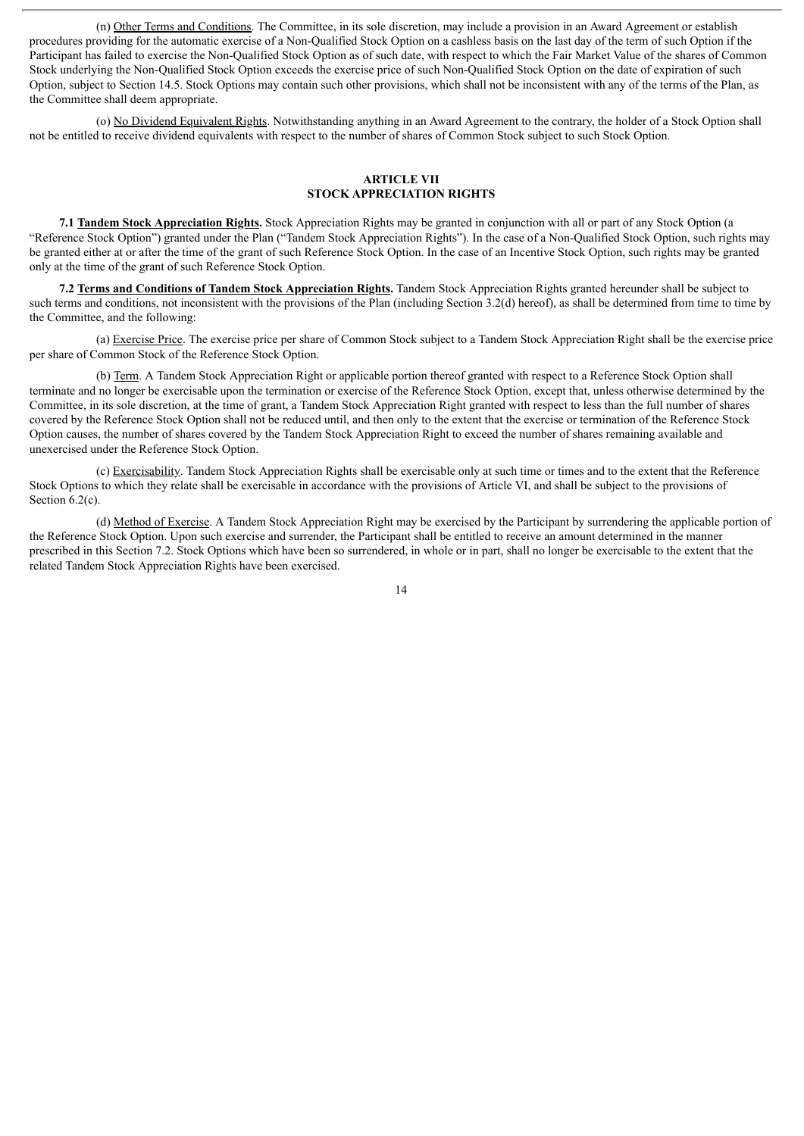(n) Other Terms and Conditions. The Committee, in its sole discretion, may include a provision in an Award Agreement or establish procedures providing for the automatic exercise of a Non-Qualified Stock Option on a cashless basis on the last day of the term of such Option if the Participant has failed to exercise the Non-Qualified Stock Option as of such date, with respect to which the Fair Market Value of the shares of Common Stock underlying the Non-Qualified Stock Option exceeds the exercise price of such Non-Qualified Stock Option on the date of expiration of such Option, subject to Section 14.5. Stock Options may contain such other provisions, which shall not be inconsistent with any of the terms of the Plan, as the Committee shall deem appropriate.

(o) No Dividend Equivalent Rights. Notwithstanding anything in an Award Agreement to the contrary, the holder of a Stock Option shall not be entitled to receive dividend equivalents with respect to the number of shares of Common Stock subject to such Stock Option.

# **ARTICLE VII STOCK APPRECIATION RIGHTS**

**7.1 Tandem Stock Appreciation Rights.** Stock Appreciation Rights may be granted in conjunction with all or part of any Stock Option (a "Reference Stock Option") granted under the Plan ("Tandem Stock Appreciation Rights"). In the case of a Non-Qualified Stock Option, such rights may be granted either at or after the time of the grant of such Reference Stock Option. In the case of an Incentive Stock Option, such rights may be granted only at the time of the grant of such Reference Stock Option.

**7.2 Terms and Conditions of Tandem Stock Appreciation Rights.** Tandem Stock Appreciation Rights granted hereunder shall be subject to such terms and conditions, not inconsistent with the provisions of the Plan (including Section 3.2(d) hereof), as shall be determined from time to time by the Committee, and the following:

(a) Exercise Price. The exercise price per share of Common Stock subject to a Tandem Stock Appreciation Right shall be the exercise price per share of Common Stock of the Reference Stock Option.

(b) Term. A Tandem Stock Appreciation Right or applicable portion thereof granted with respect to a Reference Stock Option shall terminate and no longer be exercisable upon the termination or exercise of the Reference Stock Option, except that, unless otherwise determined by the Committee, in its sole discretion, at the time of grant, a Tandem Stock Appreciation Right granted with respect to less than the full number of shares covered by the Reference Stock Option shall not be reduced until, and then only to the extent that the exercise or termination of the Reference Stock Option causes, the number of shares covered by the Tandem Stock Appreciation Right to exceed the number of shares remaining available and unexercised under the Reference Stock Option.

(c) Exercisability. Tandem Stock Appreciation Rights shall be exercisable only at such time or times and to the extent that the Reference Stock Options to which they relate shall be exercisable in accordance with the provisions of Article VI, and shall be subject to the provisions of Section 6.2(c).

(d) Method of Exercise. A Tandem Stock Appreciation Right may be exercised by the Participant by surrendering the applicable portion of the Reference Stock Option. Upon such exercise and surrender, the Participant shall be entitled to receive an amount determined in the manner prescribed in this Section 7.2. Stock Options which have been so surrendered, in whole or in part, shall no longer be exercisable to the extent that the related Tandem Stock Appreciation Rights have been exercised.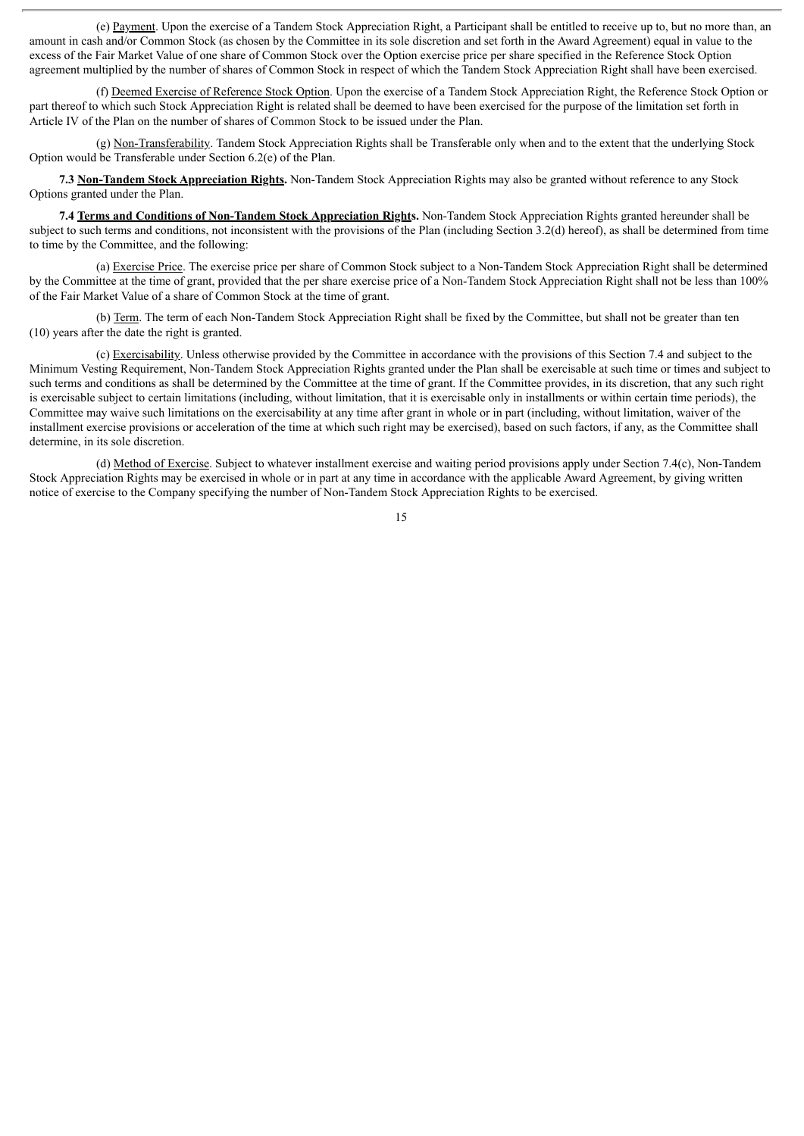(e) Payment. Upon the exercise of a Tandem Stock Appreciation Right, a Participant shall be entitled to receive up to, but no more than, an amount in cash and/or Common Stock (as chosen by the Committee in its sole discretion and set forth in the Award Agreement) equal in value to the excess of the Fair Market Value of one share of Common Stock over the Option exercise price per share specified in the Reference Stock Option agreement multiplied by the number of shares of Common Stock in respect of which the Tandem Stock Appreciation Right shall have been exercised.

(f) Deemed Exercise of Reference Stock Option. Upon the exercise of a Tandem Stock Appreciation Right, the Reference Stock Option or part thereof to which such Stock Appreciation Right is related shall be deemed to have been exercised for the purpose of the limitation set forth in Article IV of the Plan on the number of shares of Common Stock to be issued under the Plan.

(g) Non-Transferability. Tandem Stock Appreciation Rights shall be Transferable only when and to the extent that the underlying Stock Option would be Transferable under Section 6.2(e) of the Plan.

**7.3 Non-Tandem Stock Appreciation Rights.** Non-Tandem Stock Appreciation Rights may also be granted without reference to any Stock Options granted under the Plan.

**7.4 Terms and Conditions of Non-Tandem Stock Appreciation Rights.** Non-Tandem Stock Appreciation Rights granted hereunder shall be subject to such terms and conditions, not inconsistent with the provisions of the Plan (including Section 3.2(d) hereof), as shall be determined from time to time by the Committee, and the following:

(a) Exercise Price. The exercise price per share of Common Stock subject to a Non-Tandem Stock Appreciation Right shall be determined by the Committee at the time of grant, provided that the per share exercise price of a Non-Tandem Stock Appreciation Right shall not be less than 100% of the Fair Market Value of a share of Common Stock at the time of grant.

(b) Term. The term of each Non-Tandem Stock Appreciation Right shall be fixed by the Committee, but shall not be greater than ten (10) years after the date the right is granted.

(c) Exercisability. Unless otherwise provided by the Committee in accordance with the provisions of this Section 7.4 and subject to the Minimum Vesting Requirement, Non-Tandem Stock Appreciation Rights granted under the Plan shall be exercisable at such time or times and subject to such terms and conditions as shall be determined by the Committee at the time of grant. If the Committee provides, in its discretion, that any such right is exercisable subject to certain limitations (including, without limitation, that it is exercisable only in installments or within certain time periods), the Committee may waive such limitations on the exercisability at any time after grant in whole or in part (including, without limitation, waiver of the installment exercise provisions or acceleration of the time at which such right may be exercised), based on such factors, if any, as the Committee shall determine, in its sole discretion.

(d) Method of Exercise. Subject to whatever installment exercise and waiting period provisions apply under Section 7.4(c), Non-Tandem Stock Appreciation Rights may be exercised in whole or in part at any time in accordance with the applicable Award Agreement, by giving written notice of exercise to the Company specifying the number of Non-Tandem Stock Appreciation Rights to be exercised.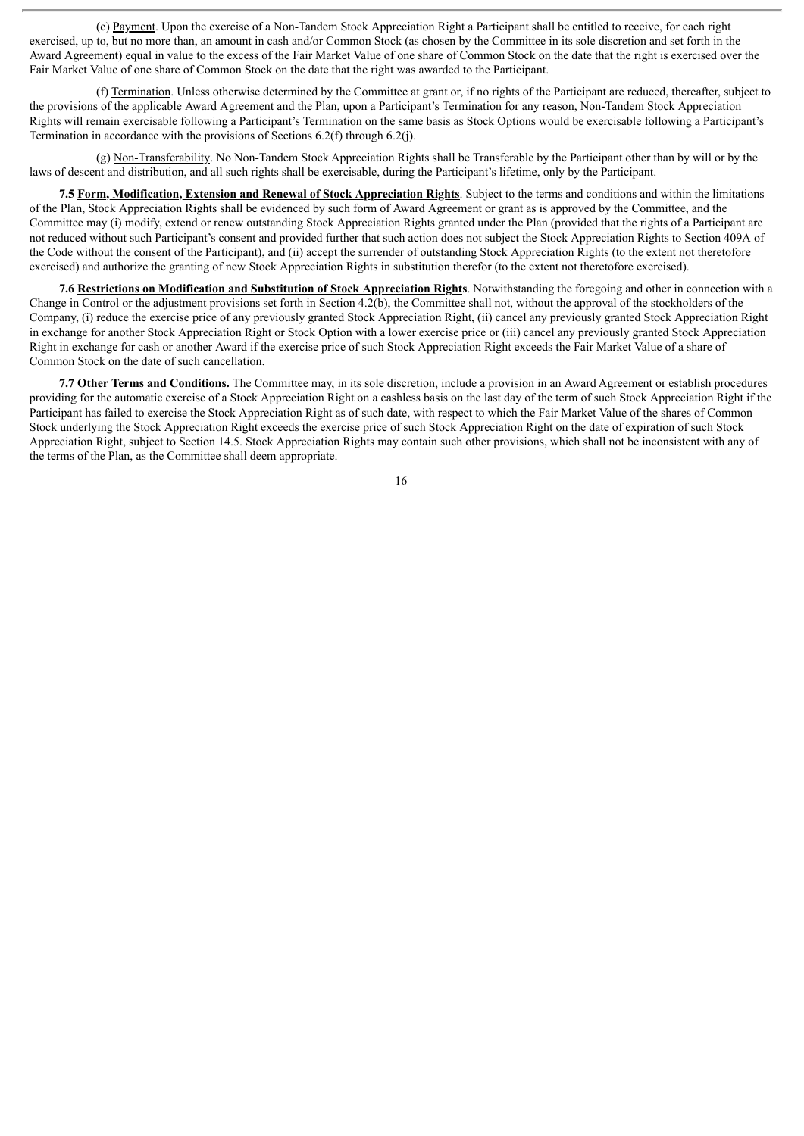(e) Payment. Upon the exercise of a Non-Tandem Stock Appreciation Right a Participant shall be entitled to receive, for each right exercised, up to, but no more than, an amount in cash and/or Common Stock (as chosen by the Committee in its sole discretion and set forth in the Award Agreement) equal in value to the excess of the Fair Market Value of one share of Common Stock on the date that the right is exercised over the Fair Market Value of one share of Common Stock on the date that the right was awarded to the Participant.

(f) Termination. Unless otherwise determined by the Committee at grant or, if no rights of the Participant are reduced, thereafter, subject to the provisions of the applicable Award Agreement and the Plan, upon a Participant's Termination for any reason, Non-Tandem Stock Appreciation Rights will remain exercisable following a Participant's Termination on the same basis as Stock Options would be exercisable following a Participant's Termination in accordance with the provisions of Sections 6.2(f) through 6.2(j).

(g) Non-Transferability. No Non-Tandem Stock Appreciation Rights shall be Transferable by the Participant other than by will or by the laws of descent and distribution, and all such rights shall be exercisable, during the Participant's lifetime, only by the Participant.

**7.5 Form, Modification, Extension and Renewal of Stock Appreciation Rights**. Subject to the terms and conditions and within the limitations of the Plan, Stock Appreciation Rights shall be evidenced by such form of Award Agreement or grant as is approved by the Committee, and the Committee may (i) modify, extend or renew outstanding Stock Appreciation Rights granted under the Plan (provided that the rights of a Participant are not reduced without such Participant's consent and provided further that such action does not subject the Stock Appreciation Rights to Section 409A of the Code without the consent of the Participant), and (ii) accept the surrender of outstanding Stock Appreciation Rights (to the extent not theretofore exercised) and authorize the granting of new Stock Appreciation Rights in substitution therefor (to the extent not theretofore exercised).

**7.6 Restrictions on Modification and Substitution of Stock Appreciation Rights**. Notwithstanding the foregoing and other in connection with a Change in Control or the adjustment provisions set forth in Section 4.2(b), the Committee shall not, without the approval of the stockholders of the Company, (i) reduce the exercise price of any previously granted Stock Appreciation Right, (ii) cancel any previously granted Stock Appreciation Right in exchange for another Stock Appreciation Right or Stock Option with a lower exercise price or (iii) cancel any previously granted Stock Appreciation Right in exchange for cash or another Award if the exercise price of such Stock Appreciation Right exceeds the Fair Market Value of a share of Common Stock on the date of such cancellation.

**7.7 Other Terms and Conditions.** The Committee may, in its sole discretion, include a provision in an Award Agreement or establish procedures providing for the automatic exercise of a Stock Appreciation Right on a cashless basis on the last day of the term of such Stock Appreciation Right if the Participant has failed to exercise the Stock Appreciation Right as of such date, with respect to which the Fair Market Value of the shares of Common Stock underlying the Stock Appreciation Right exceeds the exercise price of such Stock Appreciation Right on the date of expiration of such Stock Appreciation Right, subject to Section 14.5. Stock Appreciation Rights may contain such other provisions, which shall not be inconsistent with any of the terms of the Plan, as the Committee shall deem appropriate.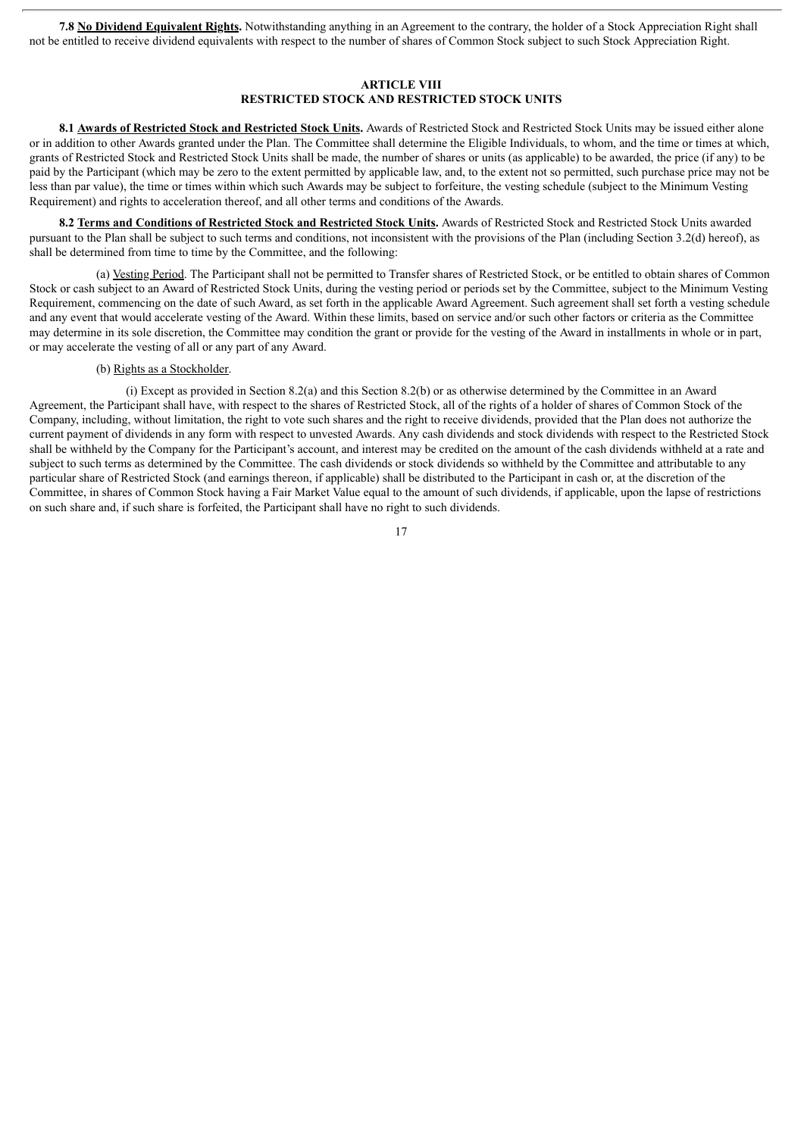**7.8 No Dividend Equivalent Rights.** Notwithstanding anything in an Agreement to the contrary, the holder of a Stock Appreciation Right shall not be entitled to receive dividend equivalents with respect to the number of shares of Common Stock subject to such Stock Appreciation Right.

# **ARTICLE VIII RESTRICTED STOCK AND RESTRICTED STOCK UNITS**

**8.1 Awards of Restricted Stock and Restricted Stock Units.** Awards of Restricted Stock and Restricted Stock Units may be issued either alone or in addition to other Awards granted under the Plan. The Committee shall determine the Eligible Individuals, to whom, and the time or times at which, grants of Restricted Stock and Restricted Stock Units shall be made, the number of shares or units (as applicable) to be awarded, the price (if any) to be paid by the Participant (which may be zero to the extent permitted by applicable law, and, to the extent not so permitted, such purchase price may not be less than par value), the time or times within which such Awards may be subject to forfeiture, the vesting schedule (subject to the Minimum Vesting Requirement) and rights to acceleration thereof, and all other terms and conditions of the Awards.

**8.2 Terms and Conditions of Restricted Stock and Restricted Stock Units.** Awards of Restricted Stock and Restricted Stock Units awarded pursuant to the Plan shall be subject to such terms and conditions, not inconsistent with the provisions of the Plan (including Section 3.2(d) hereof), as shall be determined from time to time by the Committee, and the following:

(a) Vesting Period. The Participant shall not be permitted to Transfer shares of Restricted Stock, or be entitled to obtain shares of Common Stock or cash subject to an Award of Restricted Stock Units, during the vesting period or periods set by the Committee, subject to the Minimum Vesting Requirement, commencing on the date of such Award, as set forth in the applicable Award Agreement. Such agreement shall set forth a vesting schedule and any event that would accelerate vesting of the Award. Within these limits, based on service and/or such other factors or criteria as the Committee may determine in its sole discretion, the Committee may condition the grant or provide for the vesting of the Award in installments in whole or in part, or may accelerate the vesting of all or any part of any Award.

#### (b) Rights as a Stockholder.

(i) Except as provided in Section 8.2(a) and this Section 8.2(b) or as otherwise determined by the Committee in an Award Agreement, the Participant shall have, with respect to the shares of Restricted Stock, all of the rights of a holder of shares of Common Stock of the Company, including, without limitation, the right to vote such shares and the right to receive dividends, provided that the Plan does not authorize the current payment of dividends in any form with respect to unvested Awards. Any cash dividends and stock dividends with respect to the Restricted Stock shall be withheld by the Company for the Participant's account, and interest may be credited on the amount of the cash dividends withheld at a rate and subject to such terms as determined by the Committee. The cash dividends or stock dividends so withheld by the Committee and attributable to any particular share of Restricted Stock (and earnings thereon, if applicable) shall be distributed to the Participant in cash or, at the discretion of the Committee, in shares of Common Stock having a Fair Market Value equal to the amount of such dividends, if applicable, upon the lapse of restrictions on such share and, if such share is forfeited, the Participant shall have no right to such dividends.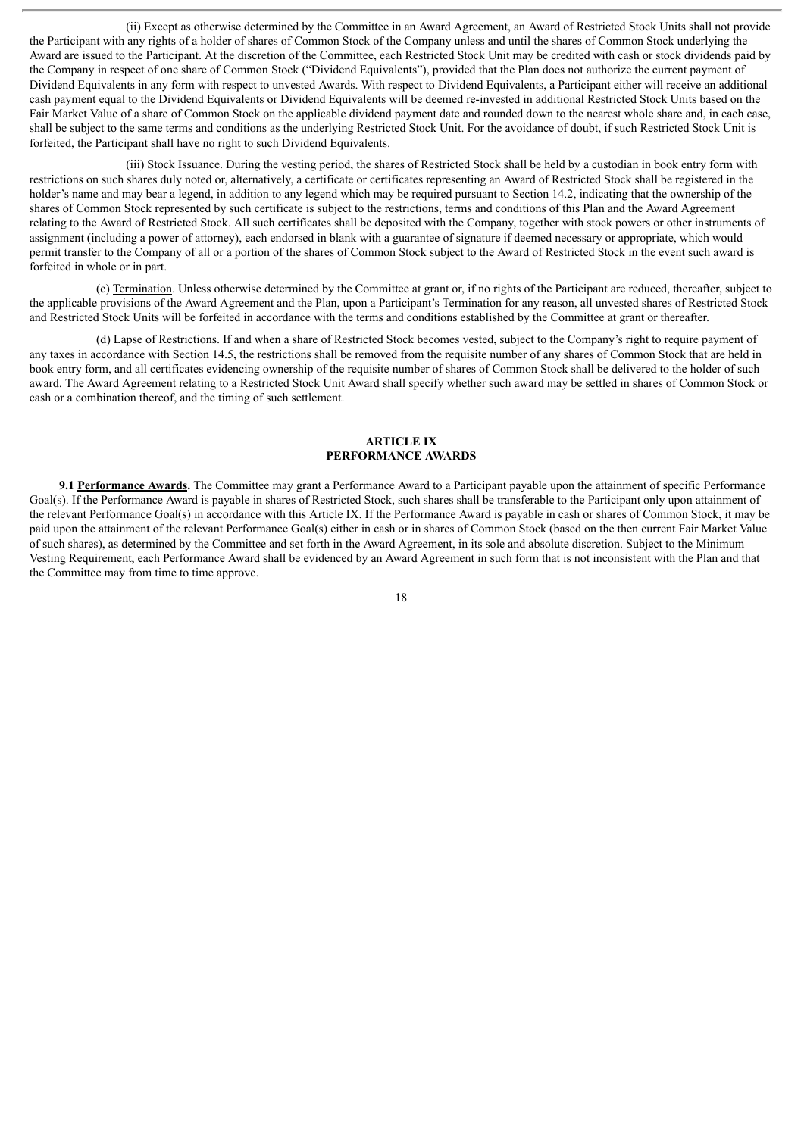(ii) Except as otherwise determined by the Committee in an Award Agreement, an Award of Restricted Stock Units shall not provide the Participant with any rights of a holder of shares of Common Stock of the Company unless and until the shares of Common Stock underlying the Award are issued to the Participant. At the discretion of the Committee, each Restricted Stock Unit may be credited with cash or stock dividends paid by the Company in respect of one share of Common Stock ("Dividend Equivalents"), provided that the Plan does not authorize the current payment of Dividend Equivalents in any form with respect to unvested Awards. With respect to Dividend Equivalents, a Participant either will receive an additional cash payment equal to the Dividend Equivalents or Dividend Equivalents will be deemed re-invested in additional Restricted Stock Units based on the Fair Market Value of a share of Common Stock on the applicable dividend payment date and rounded down to the nearest whole share and, in each case, shall be subject to the same terms and conditions as the underlying Restricted Stock Unit. For the avoidance of doubt, if such Restricted Stock Unit is forfeited, the Participant shall have no right to such Dividend Equivalents.

(iii) Stock Issuance. During the vesting period, the shares of Restricted Stock shall be held by a custodian in book entry form with restrictions on such shares duly noted or, alternatively, a certificate or certificates representing an Award of Restricted Stock shall be registered in the holder's name and may bear a legend, in addition to any legend which may be required pursuant to Section 14.2, indicating that the ownership of the shares of Common Stock represented by such certificate is subject to the restrictions, terms and conditions of this Plan and the Award Agreement relating to the Award of Restricted Stock. All such certificates shall be deposited with the Company, together with stock powers or other instruments of assignment (including a power of attorney), each endorsed in blank with a guarantee of signature if deemed necessary or appropriate, which would permit transfer to the Company of all or a portion of the shares of Common Stock subject to the Award of Restricted Stock in the event such award is forfeited in whole or in part.

(c) Termination. Unless otherwise determined by the Committee at grant or, if no rights of the Participant are reduced, thereafter, subject to the applicable provisions of the Award Agreement and the Plan, upon a Participant's Termination for any reason, all unvested shares of Restricted Stock and Restricted Stock Units will be forfeited in accordance with the terms and conditions established by the Committee at grant or thereafter.

(d) Lapse of Restrictions. If and when a share of Restricted Stock becomes vested, subject to the Company's right to require payment of any taxes in accordance with Section 14.5, the restrictions shall be removed from the requisite number of any shares of Common Stock that are held in book entry form, and all certificates evidencing ownership of the requisite number of shares of Common Stock shall be delivered to the holder of such award. The Award Agreement relating to a Restricted Stock Unit Award shall specify whether such award may be settled in shares of Common Stock or cash or a combination thereof, and the timing of such settlement.

#### **ARTICLE IX PERFORMANCE AWARDS**

**9.1 Performance Awards.** The Committee may grant a Performance Award to a Participant payable upon the attainment of specific Performance Goal(s). If the Performance Award is payable in shares of Restricted Stock, such shares shall be transferable to the Participant only upon attainment of the relevant Performance Goal(s) in accordance with this Article IX. If the Performance Award is payable in cash or shares of Common Stock, it may be paid upon the attainment of the relevant Performance Goal(s) either in cash or in shares of Common Stock (based on the then current Fair Market Value of such shares), as determined by the Committee and set forth in the Award Agreement, in its sole and absolute discretion. Subject to the Minimum Vesting Requirement, each Performance Award shall be evidenced by an Award Agreement in such form that is not inconsistent with the Plan and that the Committee may from time to time approve.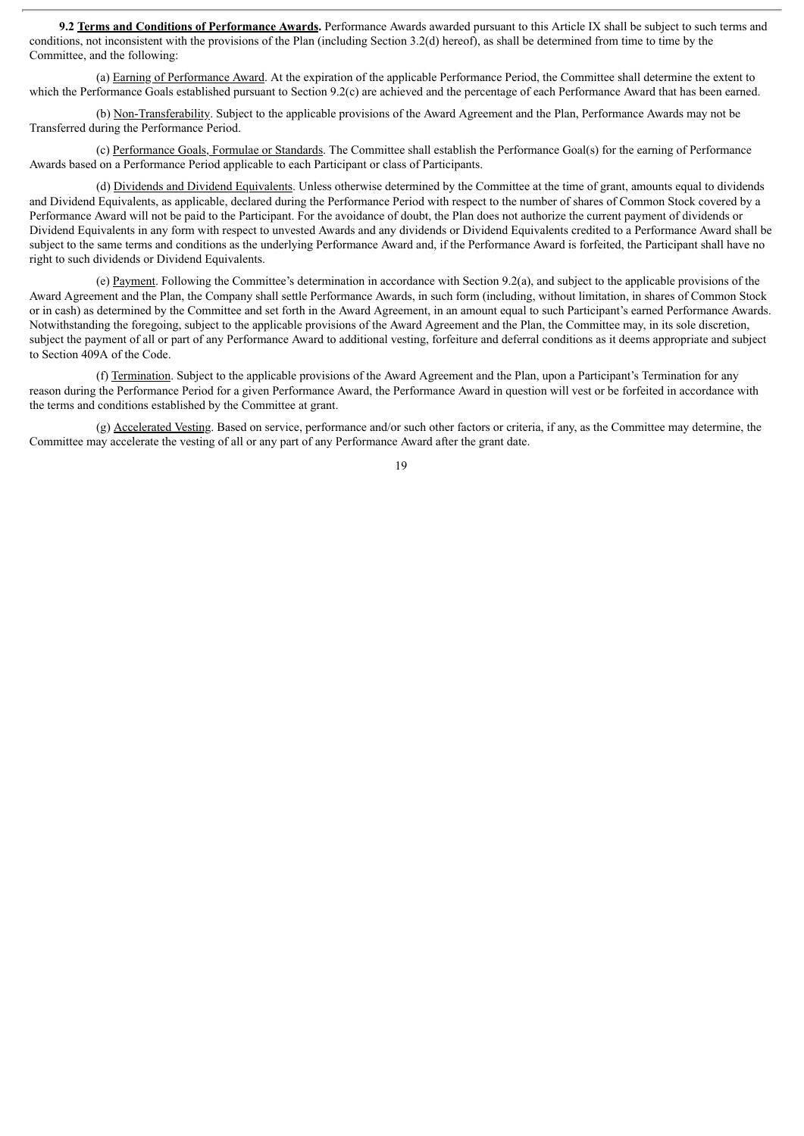**9.2 Terms and Conditions of Performance Awards.** Performance Awards awarded pursuant to this Article IX shall be subject to such terms and conditions, not inconsistent with the provisions of the Plan (including Section 3.2(d) hereof), as shall be determined from time to time by the Committee, and the following:

(a) Earning of Performance Award. At the expiration of the applicable Performance Period, the Committee shall determine the extent to which the Performance Goals established pursuant to Section 9.2(c) are achieved and the percentage of each Performance Award that has been earned.

(b) Non-Transferability. Subject to the applicable provisions of the Award Agreement and the Plan, Performance Awards may not be Transferred during the Performance Period.

(c) Performance Goals, Formulae or Standards. The Committee shall establish the Performance Goal(s) for the earning of Performance Awards based on a Performance Period applicable to each Participant or class of Participants.

(d) Dividends and Dividend Equivalents. Unless otherwise determined by the Committee at the time of grant, amounts equal to dividends and Dividend Equivalents, as applicable, declared during the Performance Period with respect to the number of shares of Common Stock covered by a Performance Award will not be paid to the Participant. For the avoidance of doubt, the Plan does not authorize the current payment of dividends or Dividend Equivalents in any form with respect to unvested Awards and any dividends or Dividend Equivalents credited to a Performance Award shall be subject to the same terms and conditions as the underlying Performance Award and, if the Performance Award is forfeited, the Participant shall have no right to such dividends or Dividend Equivalents.

(e) Payment. Following the Committee's determination in accordance with Section 9.2(a), and subject to the applicable provisions of the Award Agreement and the Plan, the Company shall settle Performance Awards, in such form (including, without limitation, in shares of Common Stock or in cash) as determined by the Committee and set forth in the Award Agreement, in an amount equal to such Participant's earned Performance Awards. Notwithstanding the foregoing, subject to the applicable provisions of the Award Agreement and the Plan, the Committee may, in its sole discretion, subject the payment of all or part of any Performance Award to additional vesting, forfeiture and deferral conditions as it deems appropriate and subject to Section 409A of the Code.

(f) Termination. Subject to the applicable provisions of the Award Agreement and the Plan, upon a Participant's Termination for any reason during the Performance Period for a given Performance Award, the Performance Award in question will vest or be forfeited in accordance with the terms and conditions established by the Committee at grant.

(g) Accelerated Vesting. Based on service, performance and/or such other factors or criteria, if any, as the Committee may determine, the Committee may accelerate the vesting of all or any part of any Performance Award after the grant date.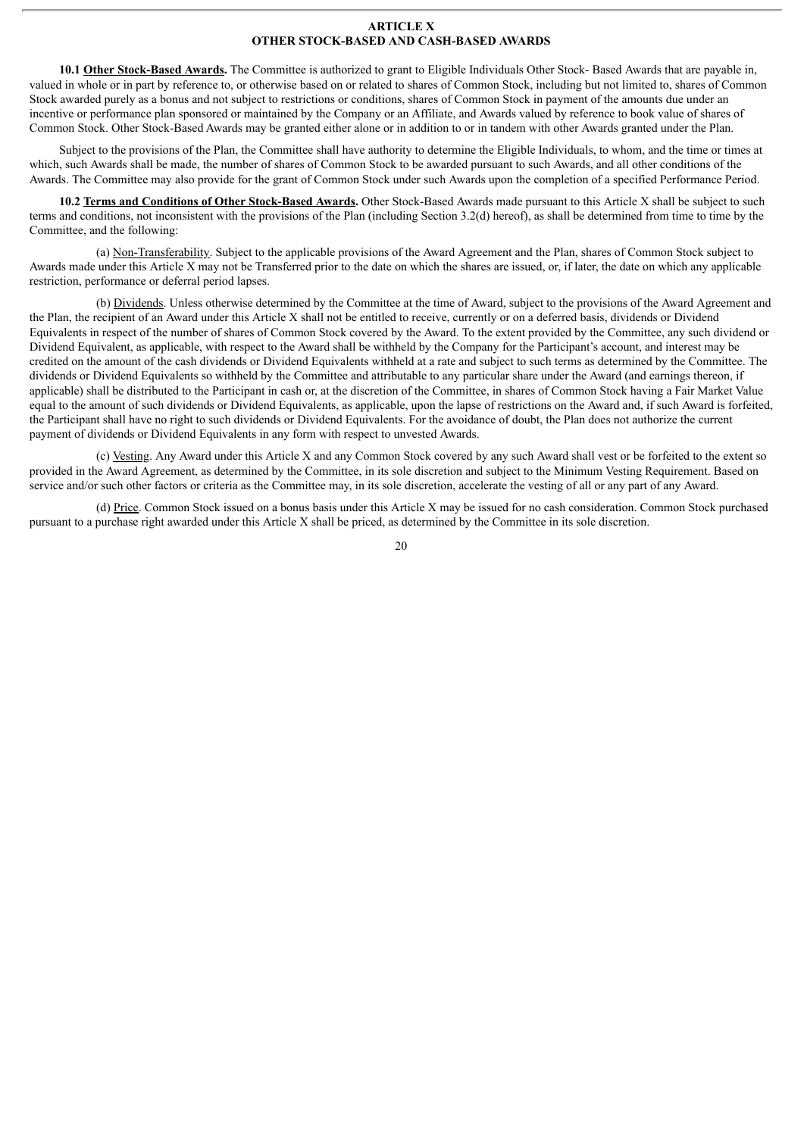#### **ARTICLE X OTHER STOCK-BASED AND CASH-BASED AWARDS**

**10.1 Other Stock-Based Awards.** The Committee is authorized to grant to Eligible Individuals Other Stock- Based Awards that are payable in, valued in whole or in part by reference to, or otherwise based on or related to shares of Common Stock, including but not limited to, shares of Common Stock awarded purely as a bonus and not subject to restrictions or conditions, shares of Common Stock in payment of the amounts due under an incentive or performance plan sponsored or maintained by the Company or an Affiliate, and Awards valued by reference to book value of shares of Common Stock. Other Stock-Based Awards may be granted either alone or in addition to or in tandem with other Awards granted under the Plan.

Subject to the provisions of the Plan, the Committee shall have authority to determine the Eligible Individuals, to whom, and the time or times at which, such Awards shall be made, the number of shares of Common Stock to be awarded pursuant to such Awards, and all other conditions of the Awards. The Committee may also provide for the grant of Common Stock under such Awards upon the completion of a specified Performance Period.

**10.2 Terms and Conditions of Other Stock-Based Awards.** Other Stock-Based Awards made pursuant to this Article X shall be subject to such terms and conditions, not inconsistent with the provisions of the Plan (including Section 3.2(d) hereof), as shall be determined from time to time by the Committee, and the following:

(a) Non-Transferability. Subject to the applicable provisions of the Award Agreement and the Plan, shares of Common Stock subject to Awards made under this Article X may not be Transferred prior to the date on which the shares are issued, or, if later, the date on which any applicable restriction, performance or deferral period lapses.

(b) Dividends. Unless otherwise determined by the Committee at the time of Award, subject to the provisions of the Award Agreement and the Plan, the recipient of an Award under this Article X shall not be entitled to receive, currently or on a deferred basis, dividends or Dividend Equivalents in respect of the number of shares of Common Stock covered by the Award. To the extent provided by the Committee, any such dividend or Dividend Equivalent, as applicable, with respect to the Award shall be withheld by the Company for the Participant's account, and interest may be credited on the amount of the cash dividends or Dividend Equivalents withheld at a rate and subject to such terms as determined by the Committee. The dividends or Dividend Equivalents so withheld by the Committee and attributable to any particular share under the Award (and earnings thereon, if applicable) shall be distributed to the Participant in cash or, at the discretion of the Committee, in shares of Common Stock having a Fair Market Value equal to the amount of such dividends or Dividend Equivalents, as applicable, upon the lapse of restrictions on the Award and, if such Award is forfeited, the Participant shall have no right to such dividends or Dividend Equivalents. For the avoidance of doubt, the Plan does not authorize the current payment of dividends or Dividend Equivalents in any form with respect to unvested Awards.

(c) Vesting. Any Award under this Article X and any Common Stock covered by any such Award shall vest or be forfeited to the extent so provided in the Award Agreement, as determined by the Committee, in its sole discretion and subject to the Minimum Vesting Requirement. Based on service and/or such other factors or criteria as the Committee may, in its sole discretion, accelerate the vesting of all or any part of any Award.

(d) Price. Common Stock issued on a bonus basis under this Article X may be issued for no cash consideration. Common Stock purchased pursuant to a purchase right awarded under this Article X shall be priced, as determined by the Committee in its sole discretion.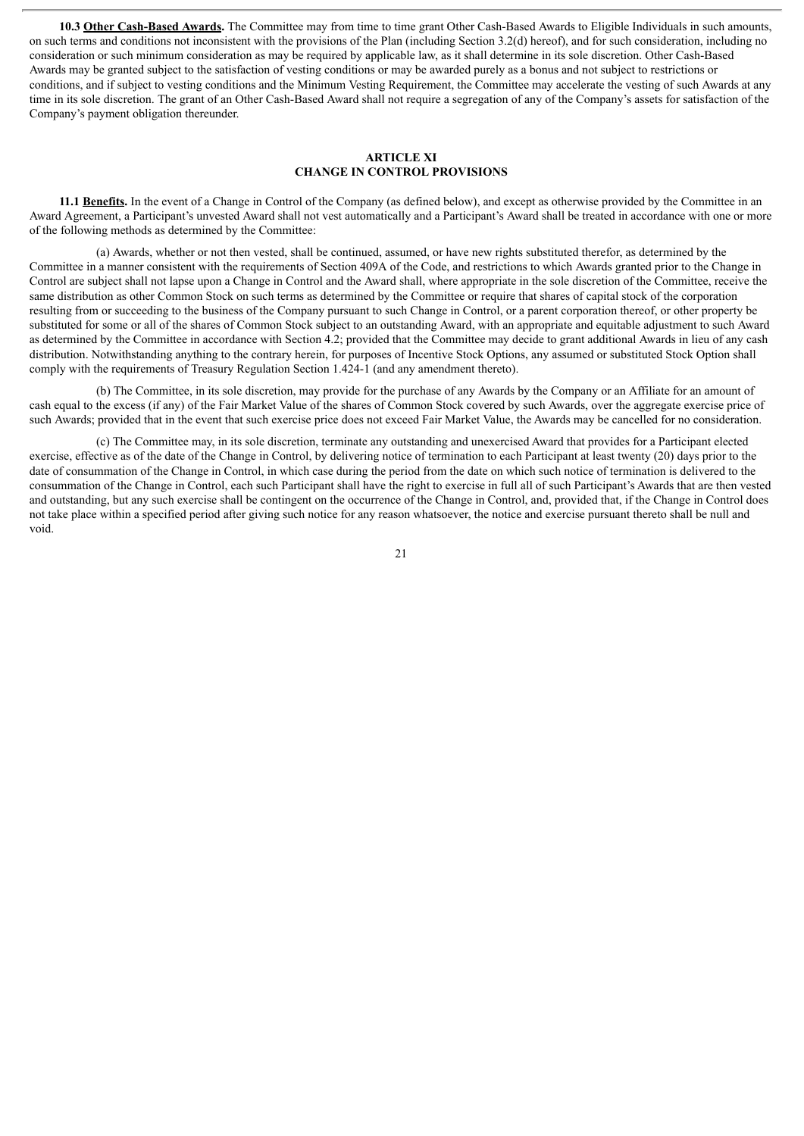**10.3 Other Cash-Based Awards.** The Committee may from time to time grant Other Cash-Based Awards to Eligible Individuals in such amounts, on such terms and conditions not inconsistent with the provisions of the Plan (including Section 3.2(d) hereof), and for such consideration, including no consideration or such minimum consideration as may be required by applicable law, as it shall determine in its sole discretion. Other Cash-Based Awards may be granted subject to the satisfaction of vesting conditions or may be awarded purely as a bonus and not subject to restrictions or conditions, and if subject to vesting conditions and the Minimum Vesting Requirement, the Committee may accelerate the vesting of such Awards at any time in its sole discretion. The grant of an Other Cash-Based Award shall not require a segregation of any of the Company's assets for satisfaction of the Company's payment obligation thereunder.

#### **ARTICLE XI CHANGE IN CONTROL PROVISIONS**

**11.1 Benefits.** In the event of a Change in Control of the Company (as defined below), and except as otherwise provided by the Committee in an Award Agreement, a Participant's unvested Award shall not vest automatically and a Participant's Award shall be treated in accordance with one or more of the following methods as determined by the Committee:

(a) Awards, whether or not then vested, shall be continued, assumed, or have new rights substituted therefor, as determined by the Committee in a manner consistent with the requirements of Section 409A of the Code, and restrictions to which Awards granted prior to the Change in Control are subject shall not lapse upon a Change in Control and the Award shall, where appropriate in the sole discretion of the Committee, receive the same distribution as other Common Stock on such terms as determined by the Committee or require that shares of capital stock of the corporation resulting from or succeeding to the business of the Company pursuant to such Change in Control, or a parent corporation thereof, or other property be substituted for some or all of the shares of Common Stock subject to an outstanding Award, with an appropriate and equitable adjustment to such Award as determined by the Committee in accordance with Section 4.2; provided that the Committee may decide to grant additional Awards in lieu of any cash distribution. Notwithstanding anything to the contrary herein, for purposes of Incentive Stock Options, any assumed or substituted Stock Option shall comply with the requirements of Treasury Regulation Section 1.424-1 (and any amendment thereto).

(b) The Committee, in its sole discretion, may provide for the purchase of any Awards by the Company or an Affiliate for an amount of cash equal to the excess (if any) of the Fair Market Value of the shares of Common Stock covered by such Awards, over the aggregate exercise price of such Awards; provided that in the event that such exercise price does not exceed Fair Market Value, the Awards may be cancelled for no consideration.

(c) The Committee may, in its sole discretion, terminate any outstanding and unexercised Award that provides for a Participant elected exercise, effective as of the date of the Change in Control, by delivering notice of termination to each Participant at least twenty (20) days prior to the date of consummation of the Change in Control, in which case during the period from the date on which such notice of termination is delivered to the consummation of the Change in Control, each such Participant shall have the right to exercise in full all of such Participant's Awards that are then vested and outstanding, but any such exercise shall be contingent on the occurrence of the Change in Control, and, provided that, if the Change in Control does not take place within a specified period after giving such notice for any reason whatsoever, the notice and exercise pursuant thereto shall be null and void.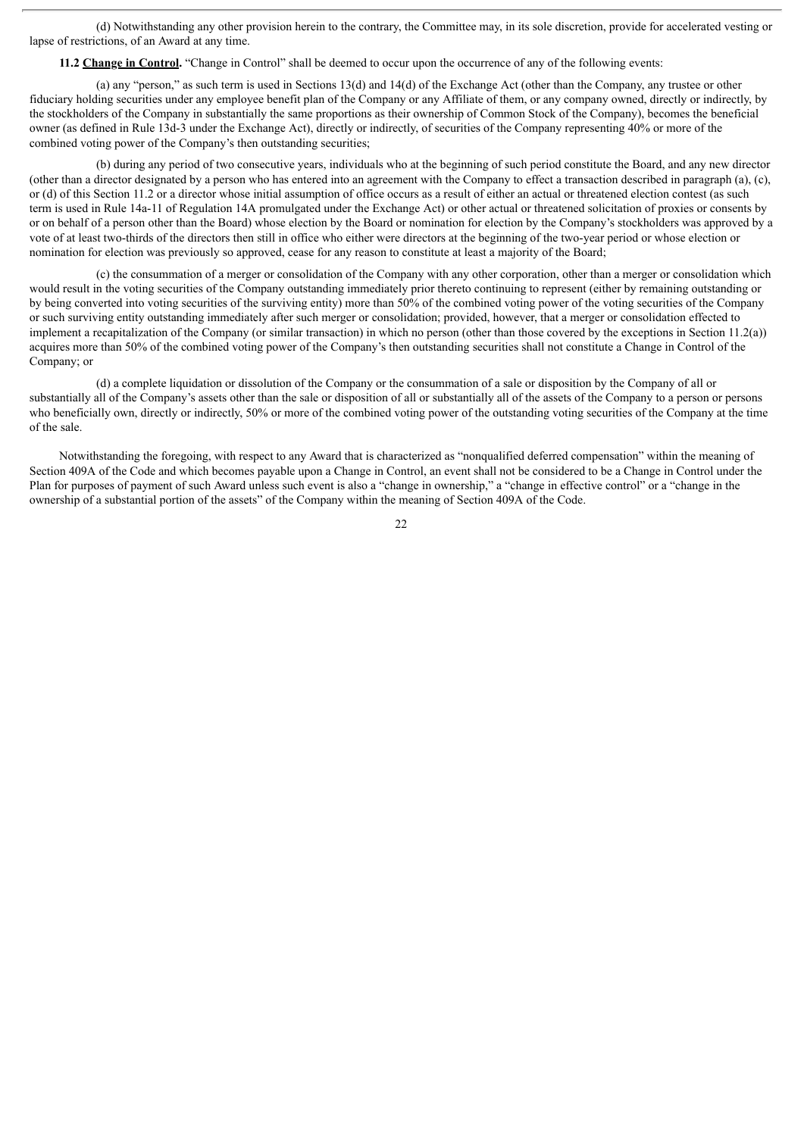(d) Notwithstanding any other provision herein to the contrary, the Committee may, in its sole discretion, provide for accelerated vesting or lapse of restrictions, of an Award at any time.

**11.2 Change in Control.** "Change in Control" shall be deemed to occur upon the occurrence of any of the following events:

(a) any "person," as such term is used in Sections  $13(d)$  and  $14(d)$  of the Exchange Act (other than the Company, any trustee or other fiduciary holding securities under any employee benefit plan of the Company or any Affiliate of them, or any company owned, directly or indirectly, by the stockholders of the Company in substantially the same proportions as their ownership of Common Stock of the Company), becomes the beneficial owner (as defined in Rule 13d-3 under the Exchange Act), directly or indirectly, of securities of the Company representing 40% or more of the combined voting power of the Company's then outstanding securities;

(b) during any period of two consecutive years, individuals who at the beginning of such period constitute the Board, and any new director (other than a director designated by a person who has entered into an agreement with the Company to effect a transaction described in paragraph (a), (c), or (d) of this Section 11.2 or a director whose initial assumption of office occurs as a result of either an actual or threatened election contest (as such term is used in Rule 14a-11 of Regulation 14A promulgated under the Exchange Act) or other actual or threatened solicitation of proxies or consents by or on behalf of a person other than the Board) whose election by the Board or nomination for election by the Company's stockholders was approved by a vote of at least two-thirds of the directors then still in office who either were directors at the beginning of the two-year period or whose election or nomination for election was previously so approved, cease for any reason to constitute at least a majority of the Board;

(c) the consummation of a merger or consolidation of the Company with any other corporation, other than a merger or consolidation which would result in the voting securities of the Company outstanding immediately prior thereto continuing to represent (either by remaining outstanding or by being converted into voting securities of the surviving entity) more than 50% of the combined voting power of the voting securities of the Company or such surviving entity outstanding immediately after such merger or consolidation; provided, however, that a merger or consolidation effected to implement a recapitalization of the Company (or similar transaction) in which no person (other than those covered by the exceptions in Section 11.2(a)) acquires more than 50% of the combined voting power of the Company's then outstanding securities shall not constitute a Change in Control of the Company; or

(d) a complete liquidation or dissolution of the Company or the consummation of a sale or disposition by the Company of all or substantially all of the Company's assets other than the sale or disposition of all or substantially all of the assets of the Company to a person or persons who beneficially own, directly or indirectly, 50% or more of the combined voting power of the outstanding voting securities of the Company at the time of the sale.

Notwithstanding the foregoing, with respect to any Award that is characterized as "nonqualified deferred compensation" within the meaning of Section 409A of the Code and which becomes payable upon a Change in Control, an event shall not be considered to be a Change in Control under the Plan for purposes of payment of such Award unless such event is also a "change in ownership," a "change in effective control" or a "change in the ownership of a substantial portion of the assets" of the Company within the meaning of Section 409A of the Code.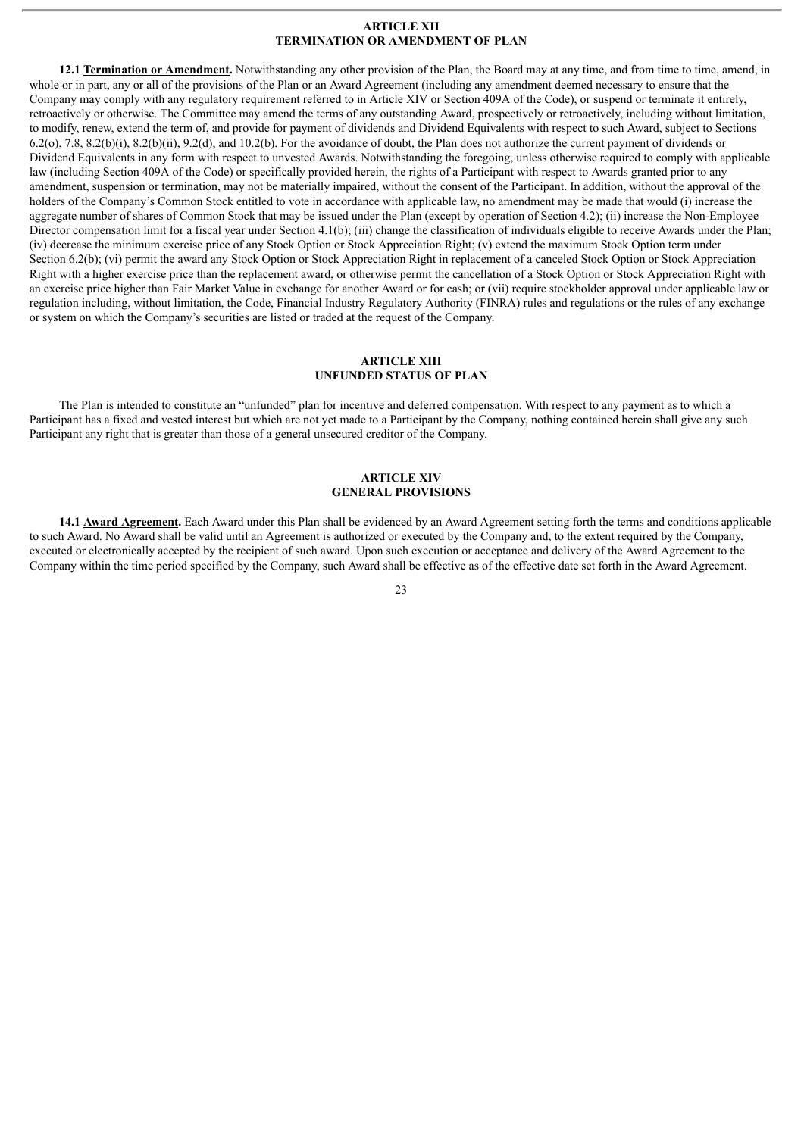#### **ARTICLE XII TERMINATION OR AMENDMENT OF PLAN**

**12.1 Termination or Amendment.** Notwithstanding any other provision of the Plan, the Board may at any time, and from time to time, amend, in whole or in part, any or all of the provisions of the Plan or an Award Agreement (including any amendment deemed necessary to ensure that the Company may comply with any regulatory requirement referred to in Article XIV or Section 409A of the Code), or suspend or terminate it entirely, retroactively or otherwise. The Committee may amend the terms of any outstanding Award, prospectively or retroactively, including without limitation, to modify, renew, extend the term of, and provide for payment of dividends and Dividend Equivalents with respect to such Award, subject to Sections 6.2(o), 7.8, 8.2(b)(i), 8.2(b)(ii), 9.2(d), and 10.2(b). For the avoidance of doubt, the Plan does not authorize the current payment of dividends or Dividend Equivalents in any form with respect to unvested Awards. Notwithstanding the foregoing, unless otherwise required to comply with applicable law (including Section 409A of the Code) or specifically provided herein, the rights of a Participant with respect to Awards granted prior to any amendment, suspension or termination, may not be materially impaired, without the consent of the Participant. In addition, without the approval of the holders of the Company's Common Stock entitled to vote in accordance with applicable law, no amendment may be made that would (i) increase the aggregate number of shares of Common Stock that may be issued under the Plan (except by operation of Section 4.2); (ii) increase the Non-Employee Director compensation limit for a fiscal year under Section 4.1(b); (iii) change the classification of individuals eligible to receive Awards under the Plan; (iv) decrease the minimum exercise price of any Stock Option or Stock Appreciation Right; (v) extend the maximum Stock Option term under Section 6.2(b); (vi) permit the award any Stock Option or Stock Appreciation Right in replacement of a canceled Stock Option or Stock Appreciation Right with a higher exercise price than the replacement award, or otherwise permit the cancellation of a Stock Option or Stock Appreciation Right with an exercise price higher than Fair Market Value in exchange for another Award or for cash; or (vii) require stockholder approval under applicable law or regulation including, without limitation, the Code, Financial Industry Regulatory Authority (FINRA) rules and regulations or the rules of any exchange or system on which the Company's securities are listed or traded at the request of the Company.

# **ARTICLE XIII UNFUNDED STATUS OF PLAN**

The Plan is intended to constitute an "unfunded" plan for incentive and deferred compensation. With respect to any payment as to which a Participant has a fixed and vested interest but which are not yet made to a Participant by the Company, nothing contained herein shall give any such Participant any right that is greater than those of a general unsecured creditor of the Company.

#### **ARTICLE XIV GENERAL PROVISIONS**

**14.1 Award Agreement.** Each Award under this Plan shall be evidenced by an Award Agreement setting forth the terms and conditions applicable to such Award. No Award shall be valid until an Agreement is authorized or executed by the Company and, to the extent required by the Company, executed or electronically accepted by the recipient of such award. Upon such execution or acceptance and delivery of the Award Agreement to the Company within the time period specified by the Company, such Award shall be effective as of the effective date set forth in the Award Agreement.

#### $2<sub>3</sub>$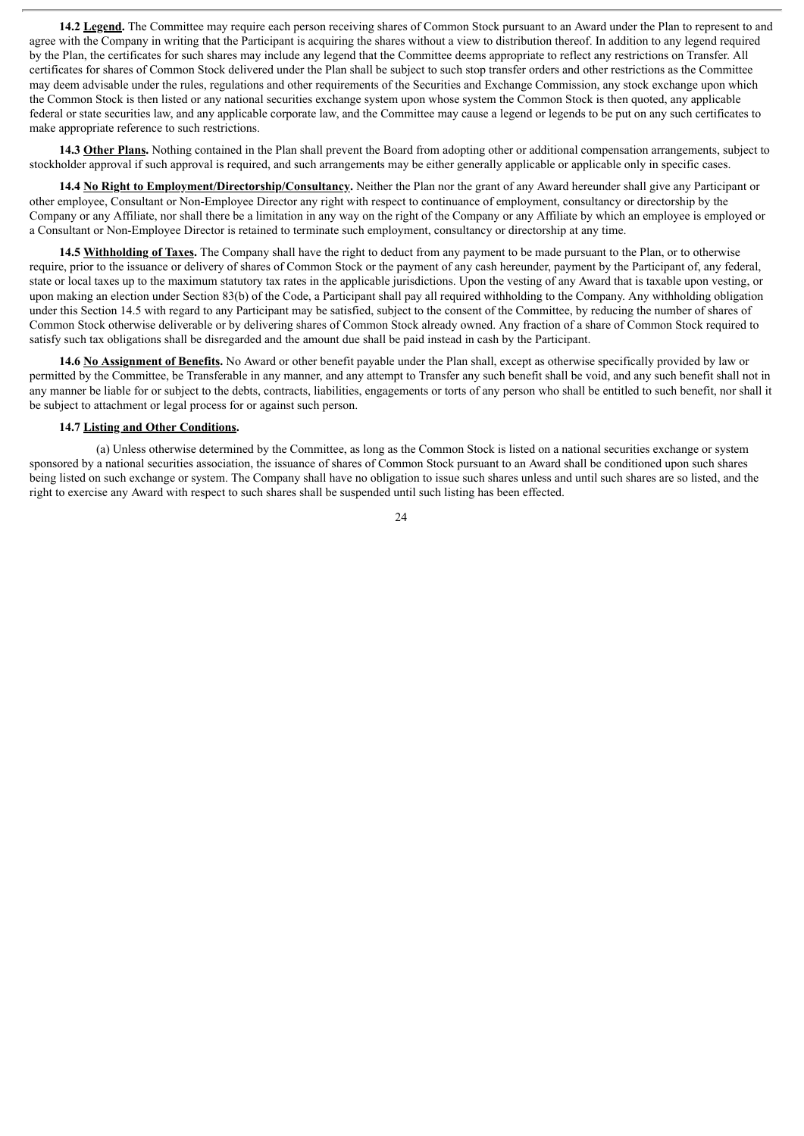**14.2 Legend.** The Committee may require each person receiving shares of Common Stock pursuant to an Award under the Plan to represent to and agree with the Company in writing that the Participant is acquiring the shares without a view to distribution thereof. In addition to any legend required by the Plan, the certificates for such shares may include any legend that the Committee deems appropriate to reflect any restrictions on Transfer. All certificates for shares of Common Stock delivered under the Plan shall be subject to such stop transfer orders and other restrictions as the Committee may deem advisable under the rules, regulations and other requirements of the Securities and Exchange Commission, any stock exchange upon which the Common Stock is then listed or any national securities exchange system upon whose system the Common Stock is then quoted, any applicable federal or state securities law, and any applicable corporate law, and the Committee may cause a legend or legends to be put on any such certificates to make appropriate reference to such restrictions.

**14.3 Other Plans.** Nothing contained in the Plan shall prevent the Board from adopting other or additional compensation arrangements, subject to stockholder approval if such approval is required, and such arrangements may be either generally applicable or applicable only in specific cases.

**14.4 No Right to Employment/Directorship/Consultancy.** Neither the Plan nor the grant of any Award hereunder shall give any Participant or other employee, Consultant or Non-Employee Director any right with respect to continuance of employment, consultancy or directorship by the Company or any Affiliate, nor shall there be a limitation in any way on the right of the Company or any Affiliate by which an employee is employed or a Consultant or Non-Employee Director is retained to terminate such employment, consultancy or directorship at any time.

**14.5 Withholding of Taxes.** The Company shall have the right to deduct from any payment to be made pursuant to the Plan, or to otherwise require, prior to the issuance or delivery of shares of Common Stock or the payment of any cash hereunder, payment by the Participant of, any federal, state or local taxes up to the maximum statutory tax rates in the applicable jurisdictions. Upon the vesting of any Award that is taxable upon vesting, or upon making an election under Section 83(b) of the Code, a Participant shall pay all required withholding to the Company. Any withholding obligation under this Section 14.5 with regard to any Participant may be satisfied, subject to the consent of the Committee, by reducing the number of shares of Common Stock otherwise deliverable or by delivering shares of Common Stock already owned. Any fraction of a share of Common Stock required to satisfy such tax obligations shall be disregarded and the amount due shall be paid instead in cash by the Participant.

**14.6 No Assignment of Benefits.** No Award or other benefit payable under the Plan shall, except as otherwise specifically provided by law or permitted by the Committee, be Transferable in any manner, and any attempt to Transfer any such benefit shall be void, and any such benefit shall not in any manner be liable for or subject to the debts, contracts, liabilities, engagements or torts of any person who shall be entitled to such benefit, nor shall it be subject to attachment or legal process for or against such person.

# **14.7 Listing and Other Conditions.**

(a) Unless otherwise determined by the Committee, as long as the Common Stock is listed on a national securities exchange or system sponsored by a national securities association, the issuance of shares of Common Stock pursuant to an Award shall be conditioned upon such shares being listed on such exchange or system. The Company shall have no obligation to issue such shares unless and until such shares are so listed, and the right to exercise any Award with respect to such shares shall be suspended until such listing has been effected.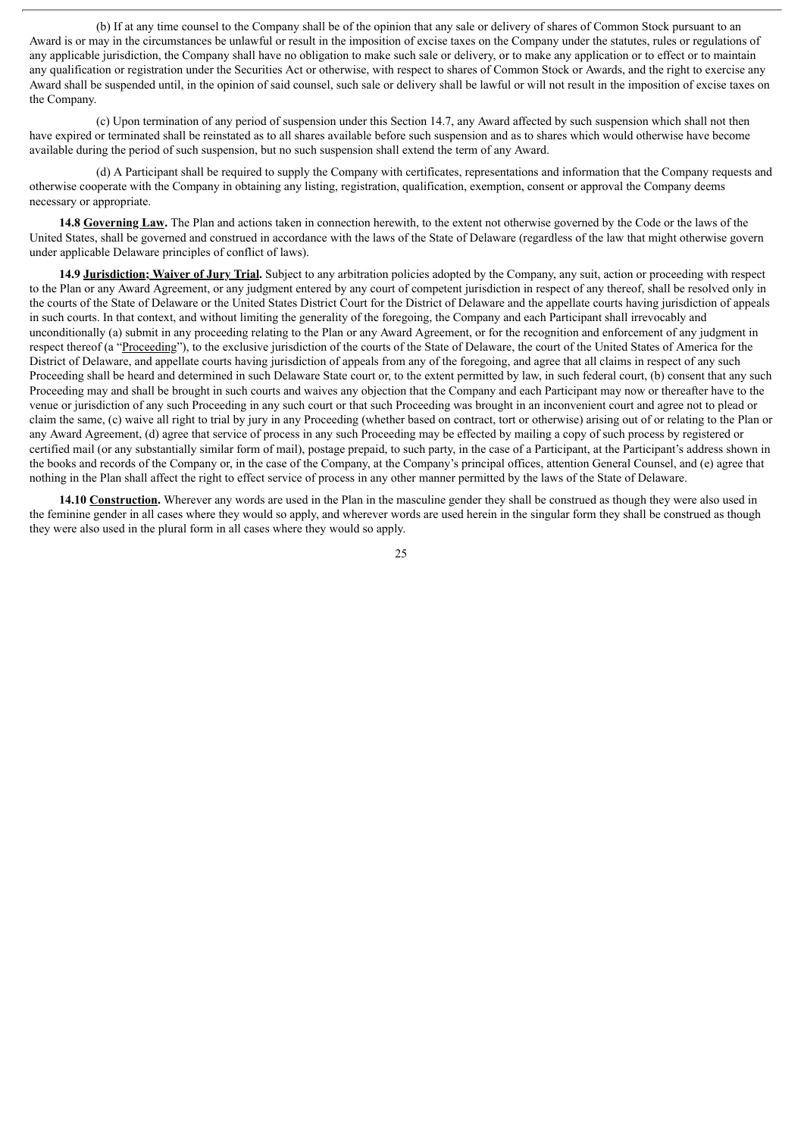(b) If at any time counsel to the Company shall be of the opinion that any sale or delivery of shares of Common Stock pursuant to an Award is or may in the circumstances be unlawful or result in the imposition of excise taxes on the Company under the statutes, rules or regulations of any applicable jurisdiction, the Company shall have no obligation to make such sale or delivery, or to make any application or to effect or to maintain any qualification or registration under the Securities Act or otherwise, with respect to shares of Common Stock or Awards, and the right to exercise any Award shall be suspended until, in the opinion of said counsel, such sale or delivery shall be lawful or will not result in the imposition of excise taxes on the Company.

(c) Upon termination of any period of suspension under this Section 14.7, any Award affected by such suspension which shall not then have expired or terminated shall be reinstated as to all shares available before such suspension and as to shares which would otherwise have become available during the period of such suspension, but no such suspension shall extend the term of any Award.

(d) A Participant shall be required to supply the Company with certificates, representations and information that the Company requests and otherwise cooperate with the Company in obtaining any listing, registration, qualification, exemption, consent or approval the Company deems necessary or appropriate.

**14.8 Governing Law.** The Plan and actions taken in connection herewith, to the extent not otherwise governed by the Code or the laws of the United States, shall be governed and construed in accordance with the laws of the State of Delaware (regardless of the law that might otherwise govern under applicable Delaware principles of conflict of laws).

**14.9 Jurisdiction; Waiver of Jury Trial.** Subject to any arbitration policies adopted by the Company, any suit, action or proceeding with respect to the Plan or any Award Agreement, or any judgment entered by any court of competent jurisdiction in respect of any thereof, shall be resolved only in the courts of the State of Delaware or the United States District Court for the District of Delaware and the appellate courts having jurisdiction of appeals in such courts. In that context, and without limiting the generality of the foregoing, the Company and each Participant shall irrevocably and unconditionally (a) submit in any proceeding relating to the Plan or any Award Agreement, or for the recognition and enforcement of any judgment in respect thereof (a "Proceeding"), to the exclusive jurisdiction of the courts of the State of Delaware, the court of the United States of America for the District of Delaware, and appellate courts having jurisdiction of appeals from any of the foregoing, and agree that all claims in respect of any such Proceeding shall be heard and determined in such Delaware State court or, to the extent permitted by law, in such federal court, (b) consent that any such Proceeding may and shall be brought in such courts and waives any objection that the Company and each Participant may now or thereafter have to the venue or jurisdiction of any such Proceeding in any such court or that such Proceeding was brought in an inconvenient court and agree not to plead or claim the same, (c) waive all right to trial by jury in any Proceeding (whether based on contract, tort or otherwise) arising out of or relating to the Plan or any Award Agreement, (d) agree that service of process in any such Proceeding may be effected by mailing a copy of such process by registered or certified mail (or any substantially similar form of mail), postage prepaid, to such party, in the case of a Participant, at the Participant's address shown in the books and records of the Company or, in the case of the Company, at the Company's principal offices, attention General Counsel, and (e) agree that nothing in the Plan shall affect the right to effect service of process in any other manner permitted by the laws of the State of Delaware.

**14.10 Construction.** Wherever any words are used in the Plan in the masculine gender they shall be construed as though they were also used in the feminine gender in all cases where they would so apply, and wherever words are used herein in the singular form they shall be construed as though they were also used in the plural form in all cases where they would so apply.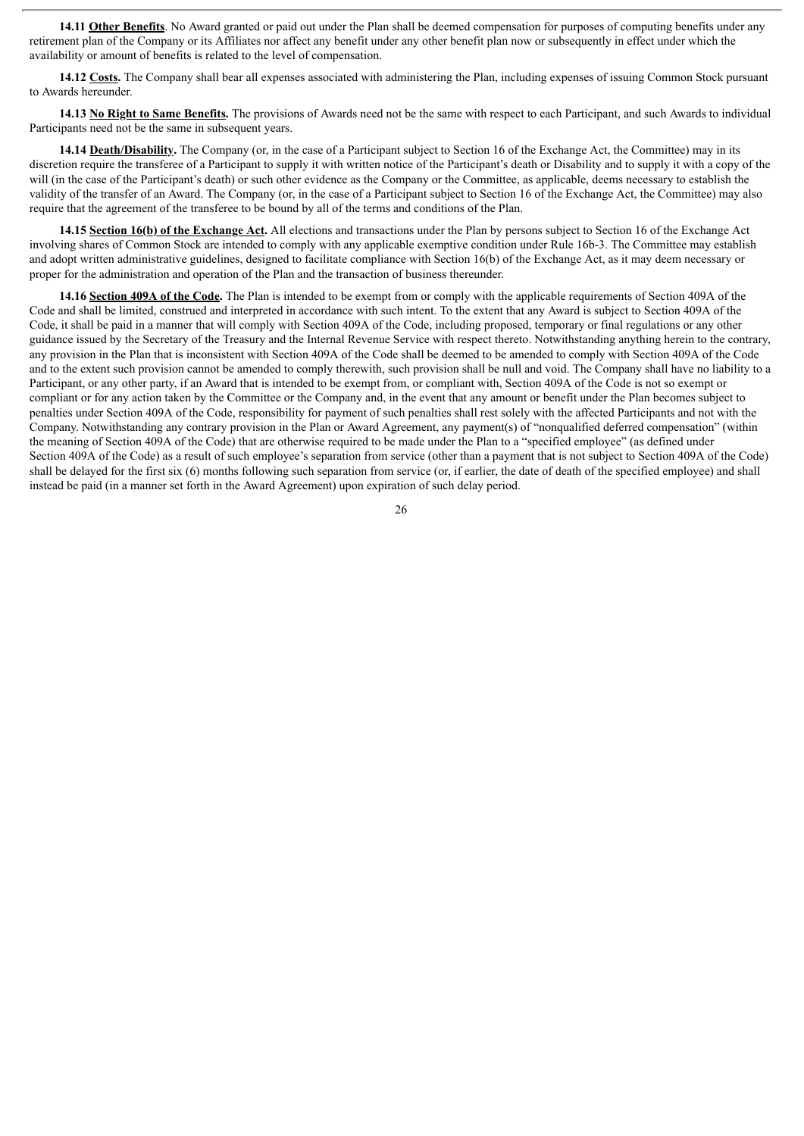**14.11 Other Benefits**. No Award granted or paid out under the Plan shall be deemed compensation for purposes of computing benefits under any retirement plan of the Company or its Affiliates nor affect any benefit under any other benefit plan now or subsequently in effect under which the availability or amount of benefits is related to the level of compensation.

**14.12 Costs.** The Company shall bear all expenses associated with administering the Plan, including expenses of issuing Common Stock pursuant to Awards hereunder.

**14.13 No Right to Same Benefits.** The provisions of Awards need not be the same with respect to each Participant, and such Awards to individual Participants need not be the same in subsequent years.

**14.14 Death/Disability.** The Company (or, in the case of a Participant subject to Section 16 of the Exchange Act, the Committee) may in its discretion require the transferee of a Participant to supply it with written notice of the Participant's death or Disability and to supply it with a copy of the will (in the case of the Participant's death) or such other evidence as the Company or the Committee, as applicable, deems necessary to establish the validity of the transfer of an Award. The Company (or, in the case of a Participant subject to Section 16 of the Exchange Act, the Committee) may also require that the agreement of the transferee to be bound by all of the terms and conditions of the Plan.

**14.15 Section 16(b) of the Exchange Act.** All elections and transactions under the Plan by persons subject to Section 16 of the Exchange Act involving shares of Common Stock are intended to comply with any applicable exemptive condition under Rule 16b-3. The Committee may establish and adopt written administrative guidelines, designed to facilitate compliance with Section 16(b) of the Exchange Act, as it may deem necessary or proper for the administration and operation of the Plan and the transaction of business thereunder.

**14.16 Section 409A of the Code.** The Plan is intended to be exempt from or comply with the applicable requirements of Section 409A of the Code and shall be limited, construed and interpreted in accordance with such intent. To the extent that any Award is subject to Section 409A of the Code, it shall be paid in a manner that will comply with Section 409A of the Code, including proposed, temporary or final regulations or any other guidance issued by the Secretary of the Treasury and the Internal Revenue Service with respect thereto. Notwithstanding anything herein to the contrary, any provision in the Plan that is inconsistent with Section 409A of the Code shall be deemed to be amended to comply with Section 409A of the Code and to the extent such provision cannot be amended to comply therewith, such provision shall be null and void. The Company shall have no liability to a Participant, or any other party, if an Award that is intended to be exempt from, or compliant with, Section 409A of the Code is not so exempt or compliant or for any action taken by the Committee or the Company and, in the event that any amount or benefit under the Plan becomes subject to penalties under Section 409A of the Code, responsibility for payment of such penalties shall rest solely with the affected Participants and not with the Company. Notwithstanding any contrary provision in the Plan or Award Agreement, any payment(s) of "nonqualified deferred compensation" (within the meaning of Section 409A of the Code) that are otherwise required to be made under the Plan to a "specified employee" (as defined under Section 409A of the Code) as a result of such employee's separation from service (other than a payment that is not subject to Section 409A of the Code) shall be delayed for the first six (6) months following such separation from service (or, if earlier, the date of death of the specified employee) and shall instead be paid (in a manner set forth in the Award Agreement) upon expiration of such delay period.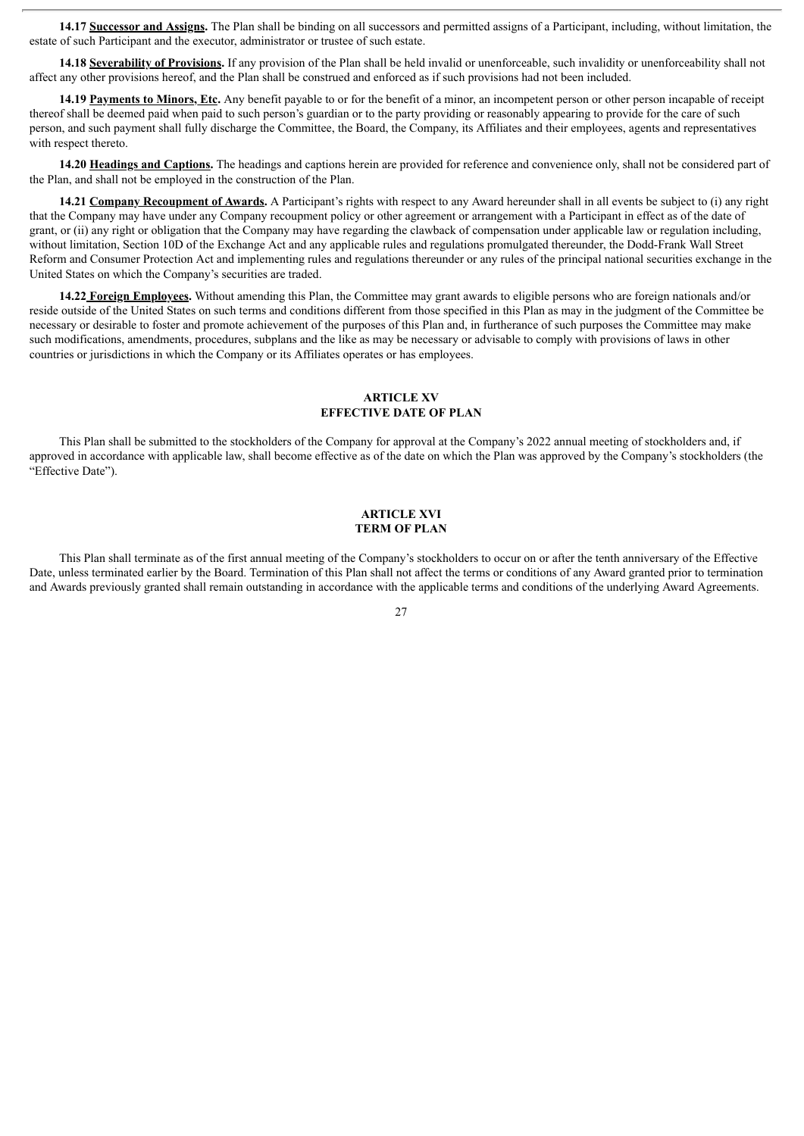**14.17 Successor and Assigns.** The Plan shall be binding on all successors and permitted assigns of a Participant, including, without limitation, the estate of such Participant and the executor, administrator or trustee of such estate.

**14.18 Severability of Provisions.** If any provision of the Plan shall be held invalid or unenforceable, such invalidity or unenforceability shall not affect any other provisions hereof, and the Plan shall be construed and enforced as if such provisions had not been included.

**14.19 Payments to Minors, Etc.** Any benefit payable to or for the benefit of a minor, an incompetent person or other person incapable of receipt thereof shall be deemed paid when paid to such person's guardian or to the party providing or reasonably appearing to provide for the care of such person, and such payment shall fully discharge the Committee, the Board, the Company, its Affiliates and their employees, agents and representatives with respect thereto.

**14.20 Headings and Captions.** The headings and captions herein are provided for reference and convenience only, shall not be considered part of the Plan, and shall not be employed in the construction of the Plan.

**14.21 Company Recoupment of Awards.** A Participant's rights with respect to any Award hereunder shall in all events be subject to (i) any right that the Company may have under any Company recoupment policy or other agreement or arrangement with a Participant in effect as of the date of grant, or (ii) any right or obligation that the Company may have regarding the clawback of compensation under applicable law or regulation including, without limitation, Section 10D of the Exchange Act and any applicable rules and regulations promulgated thereunder, the Dodd-Frank Wall Street Reform and Consumer Protection Act and implementing rules and regulations thereunder or any rules of the principal national securities exchange in the United States on which the Company's securities are traded.

**14.22 Foreign Employees.** Without amending this Plan, the Committee may grant awards to eligible persons who are foreign nationals and/or reside outside of the United States on such terms and conditions different from those specified in this Plan as may in the judgment of the Committee be necessary or desirable to foster and promote achievement of the purposes of this Plan and, in furtherance of such purposes the Committee may make such modifications, amendments, procedures, subplans and the like as may be necessary or advisable to comply with provisions of laws in other countries or jurisdictions in which the Company or its Affiliates operates or has employees.

# **ARTICLE XV EFFECTIVE DATE OF PLAN**

This Plan shall be submitted to the stockholders of the Company for approval at the Company's 2022 annual meeting of stockholders and, if approved in accordance with applicable law, shall become effective as of the date on which the Plan was approved by the Company's stockholders (the "Effective Date").

#### **ARTICLE XVI TERM OF PLAN**

This Plan shall terminate as of the first annual meeting of the Company's stockholders to occur on or after the tenth anniversary of the Effective Date, unless terminated earlier by the Board. Termination of this Plan shall not affect the terms or conditions of any Award granted prior to termination and Awards previously granted shall remain outstanding in accordance with the applicable terms and conditions of the underlying Award Agreements.